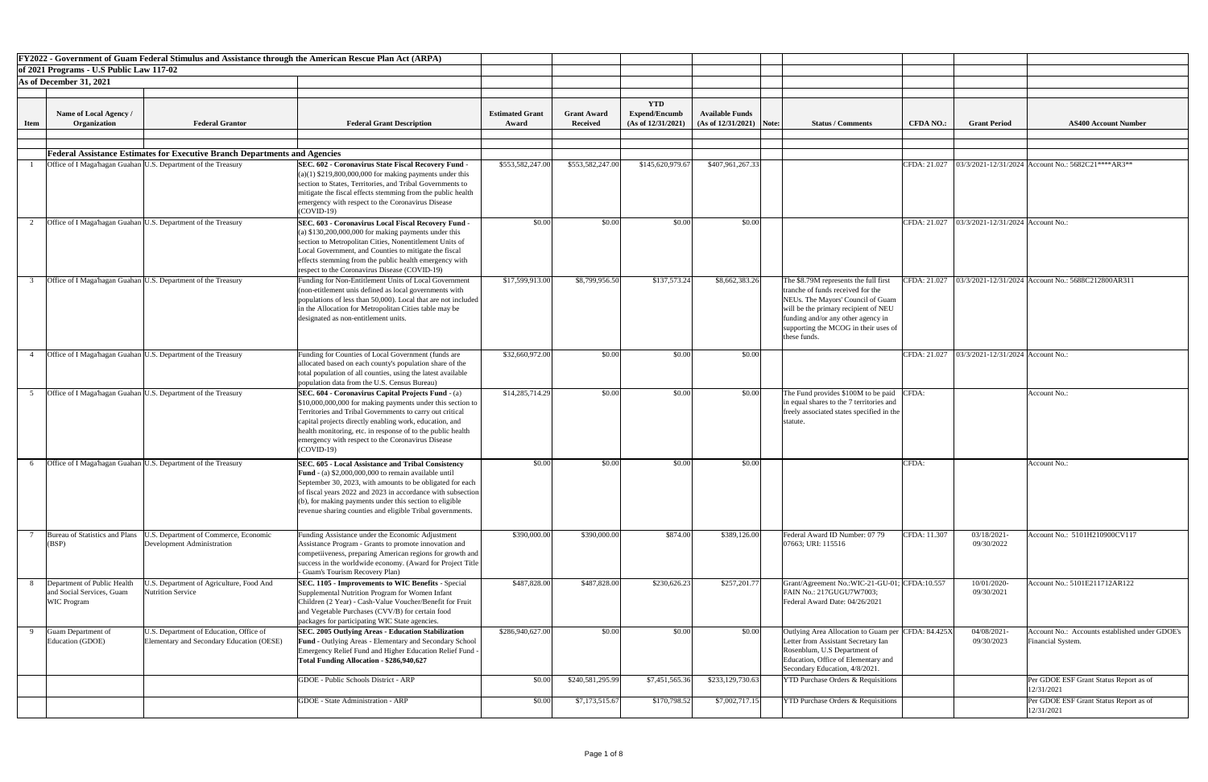|             |                                                                                |                                                                                      | FY2022 - Government of Guam Federal Stimulus and Assistance through the American Rescue Plan Act (ARPA)                                                                                                                                                                                                                                                                            |                                 |                                       |                                                             |                                                      |                                                                                                                                                                                                                                                      |                  |                                                    |                                                                     |
|-------------|--------------------------------------------------------------------------------|--------------------------------------------------------------------------------------|------------------------------------------------------------------------------------------------------------------------------------------------------------------------------------------------------------------------------------------------------------------------------------------------------------------------------------------------------------------------------------|---------------------------------|---------------------------------------|-------------------------------------------------------------|------------------------------------------------------|------------------------------------------------------------------------------------------------------------------------------------------------------------------------------------------------------------------------------------------------------|------------------|----------------------------------------------------|---------------------------------------------------------------------|
|             | of 2021 Programs - U.S Public Law 117-02                                       |                                                                                      |                                                                                                                                                                                                                                                                                                                                                                                    |                                 |                                       |                                                             |                                                      |                                                                                                                                                                                                                                                      |                  |                                                    |                                                                     |
|             | As of December 31, 2021                                                        |                                                                                      |                                                                                                                                                                                                                                                                                                                                                                                    |                                 |                                       |                                                             |                                                      |                                                                                                                                                                                                                                                      |                  |                                                    |                                                                     |
|             |                                                                                |                                                                                      |                                                                                                                                                                                                                                                                                                                                                                                    |                                 |                                       |                                                             |                                                      |                                                                                                                                                                                                                                                      |                  |                                                    |                                                                     |
| <b>Item</b> | <b>Name of Local Agency</b> /<br>Organization                                  | <b>Federal Grantor</b>                                                               | <b>Federal Grant Description</b>                                                                                                                                                                                                                                                                                                                                                   | <b>Estimated Grant</b><br>Award | <b>Grant Award</b><br><b>Received</b> | <b>YTD</b><br><b>Expend/Encumb</b><br>(As of $12/31/2021$ ) | <b>Available Funds</b><br>$(As of 12/31/2021)$ Note: | <b>Status / Comments</b>                                                                                                                                                                                                                             | <b>CFDA NO.:</b> | <b>Grant Period</b>                                | <b>AS400 Account Number</b>                                         |
|             |                                                                                |                                                                                      |                                                                                                                                                                                                                                                                                                                                                                                    |                                 |                                       |                                                             |                                                      |                                                                                                                                                                                                                                                      |                  |                                                    |                                                                     |
|             |                                                                                |                                                                                      |                                                                                                                                                                                                                                                                                                                                                                                    |                                 |                                       |                                                             |                                                      |                                                                                                                                                                                                                                                      |                  |                                                    |                                                                     |
|             |                                                                                | <b>Federal Assistance Estimates for Executive Branch Departments and Agencies</b>    |                                                                                                                                                                                                                                                                                                                                                                                    |                                 |                                       |                                                             |                                                      |                                                                                                                                                                                                                                                      | CFDA: 21.027     |                                                    |                                                                     |
|             | Office of I Maga'hagan Guahan U.S. Department of the Treasury                  |                                                                                      | <b>SEC. 602 - Coronavirus State Fiscal Recovery Fund</b><br>$(a)(1)$ \$219,800,000,000 for making payments under this<br>section to States, Territories, and Tribal Governments to<br>mitigate the fiscal effects stemming from the public health<br>emergency with respect to the Coronavirus Disease<br>$(COVID-19)$                                                             | \$553,582,247.00                | \$553,582,247.00                      | \$145,620,979.67                                            | \$407,961,267.33                                     |                                                                                                                                                                                                                                                      |                  |                                                    | $03/3/2021 - 12/31/2024$ Account No.: 5682C21****AR3**              |
|             | Office of I Maga hagan Guahan U.S. Department of the Treasury                  |                                                                                      | SEC. 603 - Coronavirus Local Fiscal Recovery Fund<br>(a) $$130,200,000,000$ for making payments under this<br>section to Metropolitan Cities, Nonentitlement Units of<br>Local Government, and Counties to mitigate the fiscal<br>effects stemming from the public health emergency with<br>respect to the Coronavirus Disease (COVID-19)                                          | \$0.00                          | \$0.00                                | \$0.00                                                      | \$0.00                                               |                                                                                                                                                                                                                                                      |                  | CFDA: 21.027   03/3/2021-12/31/2024   Account No.: |                                                                     |
|             | Office of I Maga hagan Guahan U.S. Department of the Treasury                  |                                                                                      | Funding for Non-Entitlement Units of Local Government<br>(non-etitlement unis defined as local governments with<br>populations of less than 50,000). Local that are not included<br>in the Allocation for Metropolitan Cities table may be<br>designated as non-entitlement units.                                                                                                 | \$17,599,913.00                 | \$8,799,956.50                        | \$137,573.24                                                | \$8,662,383.26                                       | The \$8.79M represents the full first<br>tranche of funds received for the<br>NEUs. The Mayors' Council of Guam<br>will be the primary recipient of NEU<br>funding and/or any other agency in<br>supporting the MCOG in their uses of<br>these funds | CFDA: 21.027     |                                                    | 03/3/2021-12/31/2024 Account No.: 5688C212800AR311                  |
|             | Office of I Maga hagan Guahan U.S. Department of the Treasury                  |                                                                                      | Funding for Counties of Local Government (funds are<br>allocated based on each county's population share of the<br>total population of all counties, using the latest available<br>population data from the U.S. Census Bureau)                                                                                                                                                    | \$32,660,972.00                 | \$0.00                                | \$0.00                                                      | \$0.00                                               |                                                                                                                                                                                                                                                      | CFDA: 21.027     | $\vert$ 03/3/2021-12/31/2024 Account No.:          |                                                                     |
|             | Office of I Maga hagan Guahan U.S. Department of the Treasury                  |                                                                                      | <b>SEC. 604 - Coronavirus Capital Projects Fund - (a)</b><br>\$10,000,000,000 for making payments under this section to<br>Territories and Tribal Governments to carry out critical<br>capital projects directly enabling work, education, and<br>health monitoring, etc. in response of to the public health<br>emergency with respect to the Coronavirus Disease<br>$(COVID-19)$ | \$14,285,714.29                 | \$0.00                                | \$0.00                                                      | \$0.00                                               | The Fund provides \$100M to be paid CFDA:<br>in equal shares to the 7 territories and<br>freely associated states specified in the<br>statute                                                                                                        |                  |                                                    | Account No.:                                                        |
|             | Office of I Maga hagan Guahan U.S. Department of the Treasury                  |                                                                                      | <b>SEC. 605 - Local Assistance and Tribal Consistency</b><br><b>Fund</b> - (a) $$2,000,000,000$ to remain available until<br>September 30, 2023, with amounts to be obligated for each<br>of fiscal years 2022 and 2023 in accordance with subsection<br>$(6)$ , for making payments under this section to eligible<br>revenue sharing counties and eligible Tribal governments.   | \$0.00                          | \$0.00                                | \$0.00                                                      | \$0.00                                               |                                                                                                                                                                                                                                                      | CFDA:            |                                                    | Account No.:                                                        |
|             | Bureau of Statistics and Plans<br>(BSP)                                        | U.S. Department of Commerce, Economic<br>Development Administration                  | Funding Assistance under the Economic Adjustment<br>Assistance Program - Grants to promote innovation and<br>competiiveness, preparing American regions for growth and<br>success in the worldwide economy. (Award for Project Title  <br>- Guam's Tourism Recovery Plan)                                                                                                          | \$390,000.00                    | \$390,000.00                          | \$874.00                                                    | \$389,126.00                                         | Federal Award ID Number: 07 79<br>07663; URI: 115516                                                                                                                                                                                                 | CFDA: 11.307     | 03/18/2021-<br>09/30/2022                          | Account No.: 5101H210900CV117                                       |
|             | Department of Public Health<br>and Social Services, Guam<br><b>WIC Program</b> | J.S. Department of Agriculture, Food And<br><b>Nutrition Service</b>                 | <b>SEC. 1105 - Improvements to WIC Benefits - Special</b><br>Supplemental Nutrition Program for Women Infant<br>Children (2 Year) - Cash-Value Voucher/Benefit for Fruit<br>and Vegetable Purchases (CVV/B) for certain food<br>packages for participating WIC State agencies.                                                                                                     | \$487,828.00                    | \$487,828.00                          | \$230,626.23                                                | \$257,201.77                                         | Grant/Agreement No.:WIC-21-GU-01; CFDA:10.557<br>FAIN No.: 217GUGU7W7003;<br>Federal Award Date: 04/26/2021                                                                                                                                          |                  | 10/01/2020-<br>09/30/2021                          | Account No.: 5101E211712AR122                                       |
|             | Guam Department of<br>Education (GDOE)                                         | U.S. Department of Education, Office of<br>Elementary and Secondary Education (OESE) | <b>SEC. 2005 Outlying Areas - Education Stabilization</b><br><b>Fund - Outlying Areas - Elementary and Secondary School</b><br>Emergency Relief Fund and Higher Education Relief Fund -<br>Total Funding Allocation - \$286,940,627                                                                                                                                                | \$286,940,627.00                | \$0.00                                | \$0.00                                                      | \$0.00                                               | Outlying Area Allocation to Guam per CFDA: 84.425X<br>Letter from Assistant Secretary Ian<br>Rosenblum, U.S Department of<br>Education, Office of Elementary and<br>Secondary Education, 4/8/2021.                                                   |                  | 04/08/2021-<br>09/30/2023                          | Account No.: Accounts established under GDOE's<br>Financial System. |
|             |                                                                                |                                                                                      | GDOE - Public Schools District - ARP                                                                                                                                                                                                                                                                                                                                               | \$0.00                          | \$240,581,295.99                      | \$7,451,565.36                                              | \$233,129,730.63                                     | <b>YTD Purchase Orders &amp; Requisitions</b>                                                                                                                                                                                                        |                  |                                                    | Per GDOE ESF Grant Status Report as of<br>12/31/2021                |
|             |                                                                                |                                                                                      | GDOE - State Administration - ARP                                                                                                                                                                                                                                                                                                                                                  | \$0.00                          | \$7,173,515.67                        | \$170,798.52                                                | \$7,002,717.15                                       | <b>YTD Purchase Orders &amp; Requisitions</b>                                                                                                                                                                                                        |                  |                                                    | Per GDOE ESF Grant Status Report as of<br>12/31/2021                |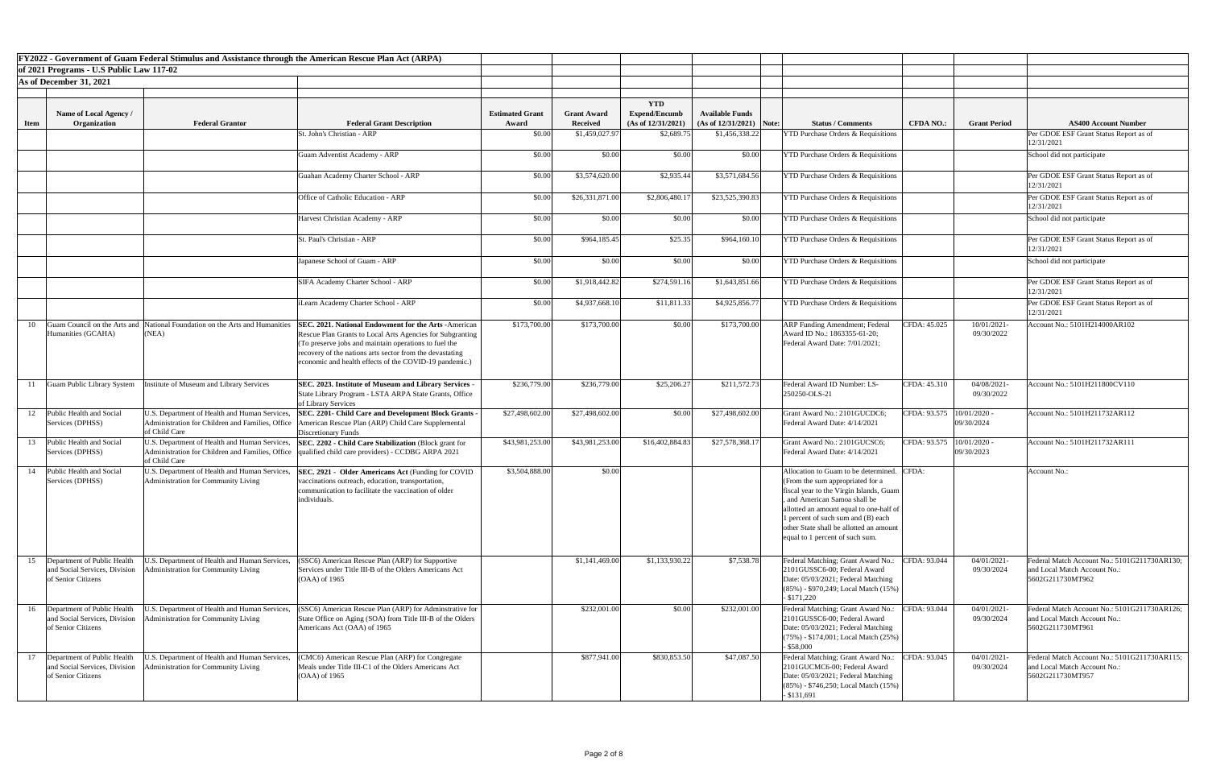|             |                                                                                    | FY2022 - Government of Guam Federal Stimulus and Assistance through the American Rescue Plan Act (ARPA)            |                                                                                                                                                                                                                                                                                                                                                                                  |                                 |                                       |                                            |                                                      |                                                                                                                                                                                                                                                                                                                        |                             |                              |                                                                                                  |
|-------------|------------------------------------------------------------------------------------|--------------------------------------------------------------------------------------------------------------------|----------------------------------------------------------------------------------------------------------------------------------------------------------------------------------------------------------------------------------------------------------------------------------------------------------------------------------------------------------------------------------|---------------------------------|---------------------------------------|--------------------------------------------|------------------------------------------------------|------------------------------------------------------------------------------------------------------------------------------------------------------------------------------------------------------------------------------------------------------------------------------------------------------------------------|-----------------------------|------------------------------|--------------------------------------------------------------------------------------------------|
|             | of 2021 Programs - U.S Public Law 117-02                                           |                                                                                                                    |                                                                                                                                                                                                                                                                                                                                                                                  |                                 |                                       |                                            |                                                      |                                                                                                                                                                                                                                                                                                                        |                             |                              |                                                                                                  |
|             | As of December 31, 2021                                                            |                                                                                                                    |                                                                                                                                                                                                                                                                                                                                                                                  |                                 |                                       |                                            |                                                      |                                                                                                                                                                                                                                                                                                                        |                             |                              |                                                                                                  |
|             |                                                                                    |                                                                                                                    |                                                                                                                                                                                                                                                                                                                                                                                  |                                 |                                       |                                            |                                                      |                                                                                                                                                                                                                                                                                                                        |                             |                              |                                                                                                  |
|             |                                                                                    |                                                                                                                    |                                                                                                                                                                                                                                                                                                                                                                                  |                                 |                                       | <b>YTD</b>                                 |                                                      |                                                                                                                                                                                                                                                                                                                        |                             |                              |                                                                                                  |
| <b>Item</b> | Name of Local Agency<br>Organization                                               | <b>Federal Grantor</b>                                                                                             | <b>Federal Grant Description</b>                                                                                                                                                                                                                                                                                                                                                 | <b>Estimated Grant</b><br>Award | <b>Grant Award</b><br><b>Received</b> | <b>Expend/Encumb</b><br>(As of 12/31/2021) | <b>Available Funds</b><br>$(As of 12/31/2021)$ Note: | <b>Status / Comments</b>                                                                                                                                                                                                                                                                                               | <b>CFDA NO.:</b>            | <b>Grant Period</b>          | <b>AS400 Account Number</b>                                                                      |
|             |                                                                                    |                                                                                                                    | St. John's Christian - ARP                                                                                                                                                                                                                                                                                                                                                       | \$0.00                          | \$1,459,027.97                        | \$2,689.75                                 | \$1,456,338.22                                       | <b>YTD Purchase Orders &amp; Requisitions</b>                                                                                                                                                                                                                                                                          |                             |                              | Per GDOE ESF Grant Status Report as of                                                           |
|             |                                                                                    |                                                                                                                    |                                                                                                                                                                                                                                                                                                                                                                                  |                                 |                                       |                                            |                                                      |                                                                                                                                                                                                                                                                                                                        |                             |                              | 12/31/2021                                                                                       |
|             |                                                                                    |                                                                                                                    | Guam Adventist Academy - ARP                                                                                                                                                                                                                                                                                                                                                     | \$0.00                          | \$0.00                                | \$0.00                                     | \$0.00                                               | <b>YTD Purchase Orders &amp; Requisitions</b>                                                                                                                                                                                                                                                                          |                             |                              | School did not participate                                                                       |
|             |                                                                                    |                                                                                                                    | Guahan Academy Charter School - ARP                                                                                                                                                                                                                                                                                                                                              | \$0.00                          | \$3,574,620.00                        | \$2,935.44                                 | \$3,571,684.56                                       | <b>YTD Purchase Orders &amp; Requisitions</b>                                                                                                                                                                                                                                                                          |                             |                              | Per GDOE ESF Grant Status Report as of<br>12/31/2021                                             |
|             |                                                                                    |                                                                                                                    | Office of Catholic Education - ARP                                                                                                                                                                                                                                                                                                                                               | \$0.00                          | \$26,331,871.00                       | \$2,806,480.17                             | \$23,525,390.83                                      | <b>YTD Purchase Orders &amp; Requisitions</b>                                                                                                                                                                                                                                                                          |                             |                              | Per GDOE ESF Grant Status Report as of<br>12/31/2021                                             |
|             |                                                                                    |                                                                                                                    | Harvest Christian Academy - ARP                                                                                                                                                                                                                                                                                                                                                  | \$0.00                          | \$0.00                                | \$0.00                                     | \$0.00                                               | <b>YTD Purchase Orders &amp; Requisitions</b>                                                                                                                                                                                                                                                                          |                             |                              | School did not participate                                                                       |
|             |                                                                                    |                                                                                                                    | St. Paul's Christian - ARP                                                                                                                                                                                                                                                                                                                                                       | \$0.00                          | \$964,185.45                          | \$25.35                                    | \$964,160.10                                         | <b>YTD Purchase Orders &amp; Requisitions</b>                                                                                                                                                                                                                                                                          |                             |                              | Per GDOE ESF Grant Status Report as of<br>12/31/2021                                             |
|             |                                                                                    |                                                                                                                    | Japanese School of Guam - ARP                                                                                                                                                                                                                                                                                                                                                    | \$0.00                          | \$0.00                                | \$0.00                                     | \$0.00                                               | <b>YTD Purchase Orders &amp; Requisitions</b>                                                                                                                                                                                                                                                                          |                             |                              | School did not participate                                                                       |
|             |                                                                                    |                                                                                                                    | SIFA Academy Charter School - ARP                                                                                                                                                                                                                                                                                                                                                | \$0.00                          | \$1,918,442.82                        | \$274,591.16                               | \$1,643,851.66                                       | <b>YTD Purchase Orders &amp; Requisitions</b>                                                                                                                                                                                                                                                                          |                             |                              | Per GDOE ESF Grant Status Report as of<br>12/31/2021                                             |
|             |                                                                                    |                                                                                                                    | iLearn Academy Charter School - ARP                                                                                                                                                                                                                                                                                                                                              | \$0.00                          | \$4,937,668.10                        | \$11,811.33                                | \$4,925,856.77                                       | <b>YTD Purchase Orders &amp; Requisitions</b>                                                                                                                                                                                                                                                                          |                             |                              | Per GDOE ESF Grant Status Report as of<br>12/31/2021                                             |
|             | Humanities (GCAHA)                                                                 | (NEA)                                                                                                              | 10 Guam Council on the Arts and National Foundation on the Arts and Humanities SEC. 2021. National Endowment for the Arts - American<br>Rescue Plan Grants to Local Arts Agencies for Subgranting<br>(To preserve jobs and maintain operations to fuel the<br>recovery of the nations arts sector from the devastating<br>economic and health effects of the COVID-19 pandemic.) | \$173,700.00                    | \$173,700.00                          | \$0.00                                     | \$173,700.00                                         | <b>ARP Funding Amendment; Federal</b><br>Award ID No.: 1863355-61-20;<br>Federal Award Date: 7/01/2021;                                                                                                                                                                                                                | CFDA: 45.025                | 10/01/2021-<br>09/30/2022    | Account No.: 5101H214000AR102                                                                    |
|             | Guam Public Library System                                                         | institute of Museum and Library Services                                                                           | SEC. 2023. Institute of Museum and Library Services -<br>State Library Program - LSTA ARPA State Grants, Office<br>of Library Services                                                                                                                                                                                                                                           | \$236,779.00                    | \$236,779.00                          | \$25,206.27                                | \$211,572.73                                         | Federal Award ID Number: LS-<br>250250-OLS-21                                                                                                                                                                                                                                                                          | CFDA: 45.310                | 04/08/2021<br>09/30/2022     | Account No.: 5101H211800CV110                                                                    |
| 12          | Public Health and Social<br>Services (DPHSS)                                       | U.S. Department of Health and Human Services,<br>of Child Care                                                     | SEC. 2201- Child Care and Development Block Grants -<br>Administration for Children and Families, Office   American Rescue Plan (ARP) Child Care Supplemental<br><b>Discretionary Funds</b>                                                                                                                                                                                      | \$27,498,602.00                 | \$27,498,602.00                       | \$0.00                                     | \$27,498,602.00                                      | Grant Award No.: 2101GUCDC6;<br>Federal Award Date: 4/14/2021                                                                                                                                                                                                                                                          | CFDA: 93.575                | $10/01/2020$ .<br>09/30/2024 | Account No.: 5101H211732AR112                                                                    |
| 13          | Public Health and Social<br>Services (DPHSS)                                       | U.S. Department of Health and Human Services,<br>Administration for Children and Families, Office<br>of Child Care | <b>SEC. 2202 - Child Care Stabilization (Block grant for</b><br>qualified child care providers) - CCDBG ARPA 2021                                                                                                                                                                                                                                                                | \$43,981,253.00                 | \$43,981,253.00                       | \$16,402,884.83                            | \$27,578,368.17                                      | Grant Award No.: 2101GUCSC6;<br>Federal Award Date: 4/14/2021                                                                                                                                                                                                                                                          | CFDA: 93.575   10/01/2020 - | 09/30/2023                   | Account No.: 5101H211732AR111                                                                    |
| 14          | Public Health and Social<br>Services (DPHSS)                                       | U.S. Department of Health and Human Services,<br>Administration for Community Living                               | SEC. 2921 - Older Americans Act (Funding for COVID<br>vaccinations outreach, education, transportation,<br>communication to facilitate the vaccination of older<br>individuals.                                                                                                                                                                                                  | \$3,504,888.00                  | \$0.00                                |                                            |                                                      | Allocation to Guam to be determined. CFDA:<br>(From the sum appropriated for a<br>fiscal year to the Virgin Islands, Guam<br>and American Samoa shall be<br>allotted an amount equal to one-half of<br>1 percent of such sum and (B) each<br>other State shall be allotted an amoun<br>equal to 1 percent of such sum. |                             |                              | Account No.:                                                                                     |
| 15          | Department of Public Health<br>and Social Services, Division<br>of Senior Citizens | J.S. Department of Health and Human Services,<br>dministration for Community Living                                | (SSC6) American Rescue Plan (ARP) for Supportive<br>Services under Title III-B of the Olders Americans Act<br>$(OAA)$ of 1965                                                                                                                                                                                                                                                    |                                 | \$1,141,469.00                        | \$1,133,930.22                             | \$7,538.78                                           | Federal Matching; Grant Award No.:<br>2101GUSSC6-00; Federal Award<br>Date: 05/03/2021; Federal Matching<br>$(85\%)$ - \$970,249; Local Match $(15\%)$<br>$-$ \$171,220                                                                                                                                                | CFDA: 93.044                | 04/01/2021-<br>09/30/2024    | Federal Match Account No.: 5101G211730AR130;<br>and Local Match Account No.:<br>5602G211730MT962 |
|             | and Social Services, Division<br>of Senior Citizens                                | <b>Administration for Community Living</b>                                                                         | 16  Department of Public Health   U.S. Department of Health and Human Services,   (SSC6) American Rescue Plan (ARP) for Adminstrative for  <br>State Office on Aging (SOA) from Title III-B of the Olders<br>Americans Act (OAA) of 1965                                                                                                                                         |                                 | \$232,001.00                          | \$0.00                                     | \$232,001.00                                         | Federal Matching; Grant Award No.: CFDA: 93.044<br>2101GUSSC6-00; Federal Award<br>Date: 05/03/2021; Federal Matching<br>$(75\%)$ - \$174,001; Local Match $(25\%)$<br>$-$ \$58,000                                                                                                                                    |                             | 04/01/2021-<br>09/30/2024    | Federal Match Account No.: 5101G211730AR126;<br>and Local Match Account No.:<br>5602G211730MT961 |
| 17          | Department of Public Health<br>and Social Services, Division<br>of Senior Citizens | J.S. Department of Health and Human Services,<br>dministration for Community Living                                | (CMC6) American Rescue Plan (ARP) for Congregate<br>Meals under Title III-C1 of the Olders Americans Act<br>$(OAA)$ of 1965                                                                                                                                                                                                                                                      |                                 | \$877,941.00                          | \$830,853.50                               | \$47,087.50                                          | Federal Matching; Grant Award No.:<br>2101GUCMC6-00; Federal Award<br>Date: 05/03/2021; Federal Matching<br>$(85\%)$ - \$746,250; Local Match $(15\%)$<br>$-$ \$131,691                                                                                                                                                | CFDA: 93.045                | 04/01/2021-<br>09/30/2024    | Federal Match Account No.: 5101G211730AR115;<br>and Local Match Account No.:<br>5602G211730MT957 |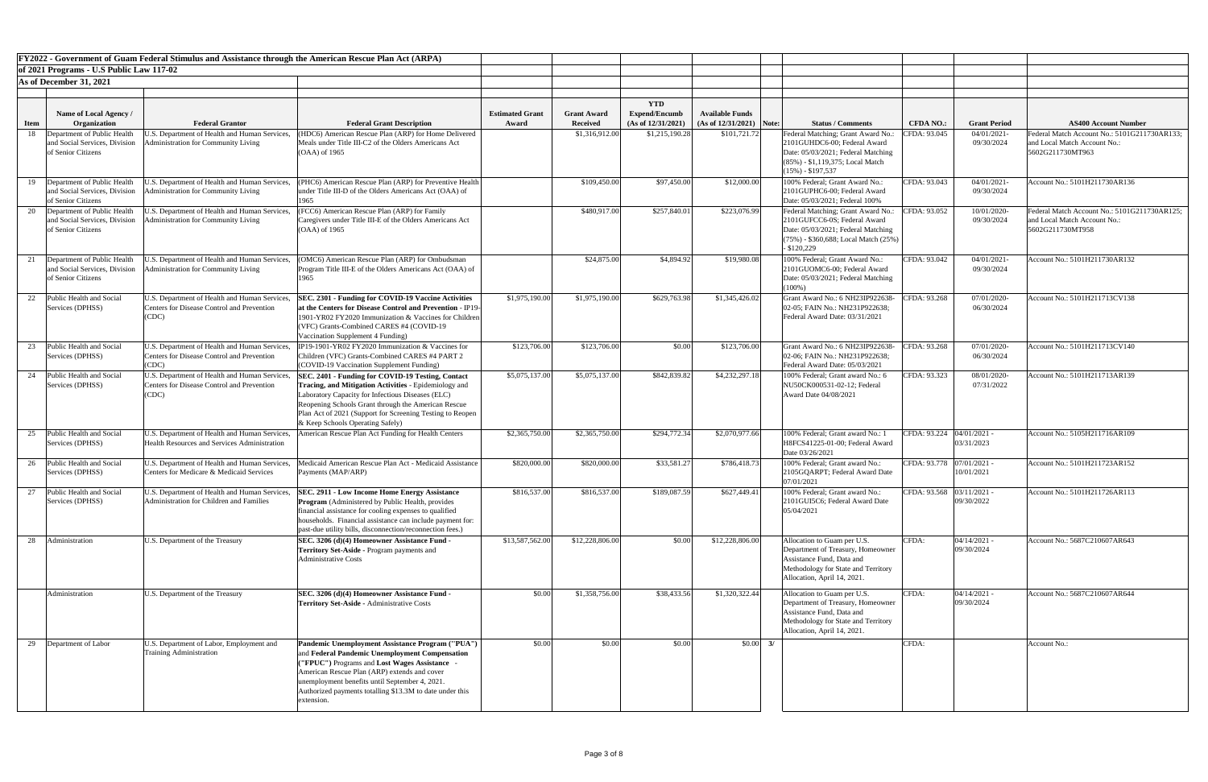|             |                                                                                       |                                                                                                             | <b>FY2022 - Government of Guam Federal Stimulus and Assistance through the American Rescue Plan Act (ARPA)</b>                                                                                                                                                                                                                  |                        |                    |                      |                            |                                                                                                                                                                     |                             |                              |                                                  |
|-------------|---------------------------------------------------------------------------------------|-------------------------------------------------------------------------------------------------------------|---------------------------------------------------------------------------------------------------------------------------------------------------------------------------------------------------------------------------------------------------------------------------------------------------------------------------------|------------------------|--------------------|----------------------|----------------------------|---------------------------------------------------------------------------------------------------------------------------------------------------------------------|-----------------------------|------------------------------|--------------------------------------------------|
|             | of 2021 Programs - U.S Public Law 117-02                                              |                                                                                                             |                                                                                                                                                                                                                                                                                                                                 |                        |                    |                      |                            |                                                                                                                                                                     |                             |                              |                                                  |
|             | As of December 31, 2021                                                               |                                                                                                             |                                                                                                                                                                                                                                                                                                                                 |                        |                    |                      |                            |                                                                                                                                                                     |                             |                              |                                                  |
|             |                                                                                       |                                                                                                             |                                                                                                                                                                                                                                                                                                                                 |                        |                    | <b>YTD</b>           |                            |                                                                                                                                                                     |                             |                              |                                                  |
|             | Name of Local Agency /                                                                |                                                                                                             |                                                                                                                                                                                                                                                                                                                                 | <b>Estimated Grant</b> | <b>Grant Award</b> | <b>Expend/Encumb</b> | <b>Available Funds</b>     |                                                                                                                                                                     |                             |                              |                                                  |
| <b>Item</b> | Organization                                                                          | <b>Federal Grantor</b>                                                                                      | <b>Federal Grant Description</b>                                                                                                                                                                                                                                                                                                | Award                  | <b>Received</b>    | (As of 12/31/2021)   | $(As of 12/31/2021)$ Note: | <b>Status / Comments</b>                                                                                                                                            | <b>CFDA NO.:</b>            | <b>Grant Period</b>          | <b>AS400 Account Number</b>                      |
| 18          | Department of Public Health                                                           | .S. Department of Health and Human Services                                                                 | (HDC6) American Rescue Plan (ARP) for Home Delivered                                                                                                                                                                                                                                                                            |                        | \$1,316,912.00     | \$1,215,190.28       | \$101,721.72               | Federal Matching; Grant Award No.:                                                                                                                                  | CFDA: 93.045                | 04/01/2021                   | Federal Match Account No.: 5101G211730AR133;     |
|             | and Social Services, Division<br>of Senior Citizens                                   | dministration for Community Living                                                                          | Meals under Title III-C2 of the Olders Americans Act<br>$(OAA)$ of 1965                                                                                                                                                                                                                                                         |                        |                    |                      |                            | 2101GUHDC6-00; Federal Award<br>Date: 05/03/2021; Federal Matching<br>$(85\%)$ - \$1,119,375; Local Match<br>$(15\%) - $197,537$                                    |                             | 09/30/2024                   | and Local Match Account No.:<br>5602G211730MT963 |
|             | 19 Department of Public Health<br>and Social Services, Division                       | U.S. Department of Health and Human Services,<br><b>Administration for Community Living</b>                 | (PHC6) American Rescue Plan (ARP) for Preventive Health<br>under Title III-D of the Olders Americans Act (OAA) of                                                                                                                                                                                                               |                        | \$109,450.00       | \$97,450.00          | \$12,000.00                | 100% Federal; Grant Award No.:<br>2101GUPHC6-00; Federal Award                                                                                                      | CFDA: 93.043                | 04/01/2021<br>09/30/2024     | Account No.: 5101H211730AR136                    |
|             | of Senior Citizens<br>Department of Public Health                                     | U.S. Department of Health and Human Services,                                                               | 1965<br>(FCC6) American Rescue Plan (ARP) for Family                                                                                                                                                                                                                                                                            |                        | \$480,917.00       | \$257,840.01         | \$223,076.99               | Date: 05/03/2021; Federal 100%                                                                                                                                      | CFDA: 93.052                | 10/01/2020                   | Federal Match Account No.: 5101G211730AR125;     |
|             | and Social Services, Division<br>of Senior Citizens                                   | <b>Administration for Community Living</b>                                                                  | Caregivers under Title III-E of the Olders Americans Act<br>(OAA) of 1965                                                                                                                                                                                                                                                       |                        |                    |                      |                            | Federal Matching; Grant Award No.:<br>2101GUFCC6-0S; Federal Award<br>Date: 05/03/2021; Federal Matching<br>$(75%)$ - \$360,688; Local Match $(25%)$<br>\$120,229   |                             | 09/30/2024                   | and Local Match Account No.:<br>5602G211730MT958 |
|             | 21 Department of Public Health<br>and Social Services, Division<br>of Senior Citizens | J.S. Department of Health and Human Services,<br><b>Administration for Community Living</b>                 | (OMC6) American Rescue Plan (ARP) for Ombudsman<br>Program Title III-E of the Olders Americans Act (OAA) of<br>1965                                                                                                                                                                                                             |                        | \$24,875.00        | \$4,894.92           | \$19,980.08                | 100% Federal; Grant Award No.:<br>2101GUOMC6-00; Federal Award<br>Date: 05/03/2021; Federal Matching<br>$(100\%)$                                                   | CFDA: 93.042                | 04/01/2021<br>09/30/2024     | Account No.: 5101H211730AR132                    |
|             | <b>Public Health and Social</b><br>Services (DPHSS)                                   | U.S. Department of Health and Human Services,<br><b>Centers for Disease Control and Prevention</b><br>(CDC) | <b>SEC. 2301 - Funding for COVID-19 Vaccine Activities</b><br>at the Centers for Disease Control and Prevention - IP19-<br>1901-YR02 FY2020 Immunization & Vaccines for Children<br>(VFC) Grants-Combined CARES #4 (COVID-19<br>Vaccination Supplement 4 Funding)                                                               | \$1,975,190.00         | \$1,975,190.00     | \$629,763.98         | \$1,345,426.02             | Grant Award No.: 6 NH23IP922638-<br>02-05; FAIN No.: NH231P922638;<br>Federal Award Date: 03/31/2021                                                                | CFDA: 93.268                | 07/01/2020-<br>06/30/2024    | Account No.: 5101H211713CV138                    |
|             | Public Health and Social<br>Services (DPHSS)                                          | U.S. Department of Health and Human Services.<br><b>Centers for Disease Control and Prevention</b><br>(CDC) | IP19-1901-YR02 FY2020 Immunization & Vaccines for<br>Children (VFC) Grants-Combined CARES #4 PART 2<br>(COVID-19 Vaccination Supplement Funding)                                                                                                                                                                                | \$123,706.00           | \$123,706.00       | \$0.00               | \$123,706.00               | Grant Award No.: 6 NH23IP922638-<br>02-06; FAIN No.: NH231P922638;<br>Federal Award Date: 05/03/2021                                                                | CFDA: 93.268                | 07/01/2020-<br>06/30/2024    | Account No.: 5101H211713CV140                    |
| 24          | Public Health and Social<br>Services (DPHSS)                                          | U.S. Department of Health and Human Services.<br>Centers for Disease Control and Prevention<br>(CDC)        | <b>SEC. 2401 - Funding for COVID-19 Testing, Contact</b><br>Tracing, and Mitigation Activities - Epidemiology and<br>Laboratory Capacity for Infectious Diseases (ELC)<br>Reopening Schools Grant through the American Rescue<br>Plan Act of 2021 (Support for Screening Testing to Reopen<br>& Keep Schools Operating Safely)  | \$5,075,137.00         | \$5,075,137.00     | \$842,839.82         | \$4,232,297.18             | 100% Federal; Grant award No.: 6<br>NU50CK000531-02-12; Federal<br>Award Date 04/08/2021                                                                            | CFDA: 93.323                | 08/01/2020<br>07/31/2022     | Account No.: 5101H211713AR139                    |
|             | 25 Public Health and Social<br>Services (DPHSS)                                       | U.S. Department of Health and Human Services,<br><b>Health Resources and Services Administration</b>        | American Rescue Plan Act Funding for Health Centers                                                                                                                                                                                                                                                                             | \$2,365,750.00         | \$2,365,750.00     | \$294,772.34         | \$2,070,977.66             | 100% Federal; Grant award No.: 1<br>H8FCS41225-01-00; Federal Award<br>Date 03/26/2021                                                                              | CFDA: 93.224   04/01/2021 - | 03/31/2023                   | Account No.: 5105H211716AR109                    |
|             | 26 Public Health and Social<br>Services (DPHSS)                                       | U.S. Department of Health and Human Services,<br>Centers for Medicare & Medicaid Services                   | Medicaid American Rescue Plan Act - Medicaid Assistance<br>Payments (MAP/ARP)                                                                                                                                                                                                                                                   | \$820,000.00           | \$820,000.00       | \$33,581.27          | \$786,418.73               | 100% Federal; Grant award No.:<br>2105GQARPT; Federal Award Date<br>07/01/2021                                                                                      | CFDA: 93.778 07/01/2021 -   | 10/01/2021                   | Account No.: 5101H211723AR152                    |
|             | Public Health and Social<br>Services (DPHSS)                                          | U.S. Department of Health and Human Services,<br>Administration for Children and Families                   | <b>SEC. 2911 - Low Income Home Energy Assistance</b><br>Program (Administered by Public Health, provides<br>financial assistance for cooling expenses to qualified<br>households. Financial assistance can include payment for:<br>past-due utility bills, disconnection/reconnection fees.)                                    | \$816,537.00           | \$816,537.00       | \$189,087.59         | \$627,449.41               | 100% Federal; Grant award No.:<br>2101GUI5C6; Federal Award Date<br>05/04/2021                                                                                      | CFDA: 93.568 03/11/2021 -   | 09/30/2022                   | Account No.: 5101H211726AR113                    |
| 28          | Administration                                                                        | U.S. Department of the Treasury                                                                             | SEC. 3206 (d)(4) Homeowner Assistance Fund -<br><b>Territory Set-Aside - Program payments and</b><br><b>Administrative Costs</b>                                                                                                                                                                                                | \$13,587,562.00        | \$12,228,806.00    | \$0.00               | \$12,228,806.00            | Allocation to Guam per U.S.<br>Department of Treasury, Homeowner<br>Assistance Fund, Data and<br>Methodology for State and Territory<br>Allocation, April 14, 2021. | CFDA:                       | $04/14/2021$ -<br>09/30/2024 | Account No.: 5687C210607AR643                    |
|             | Administration                                                                        | U.S. Department of the Treasury                                                                             | SEC. 3206 (d)(4) Homeowner Assistance Fund -<br><b>Territory Set-Aside - Administrative Costs</b>                                                                                                                                                                                                                               | \$0.00                 | \$1,358,756.00     | \$38,433.56          | \$1,320,322.44             | Allocation to Guam per U.S.<br>Department of Treasury, Homeowner<br>Assistance Fund, Data and<br>Methodology for State and Territory<br>Allocation, April 14, 2021. | CFDA:                       | $04/14/2021$ -<br>09/30/2024 | Account No.: 5687C210607AR644                    |
|             | 29 Department of Labor                                                                | U.S. Department of Labor, Employment and<br>Training Administration                                         | Pandemic Unemployment Assistance Program ("PUA")<br>and Federal Pandemic Unemployment Compensation<br>("FPUC") Programs and Lost Wages Assistance -<br>American Rescue Plan (ARP) extends and cover<br>unemployment benefits until September 4, 2021.<br>Authorized payments totalling \$13.3M to date under this<br>extension. | \$0.00                 | \$0.00             | \$0.00               |                            | $$0.00$ 3/                                                                                                                                                          | CFDA:                       |                              | Account No.:                                     |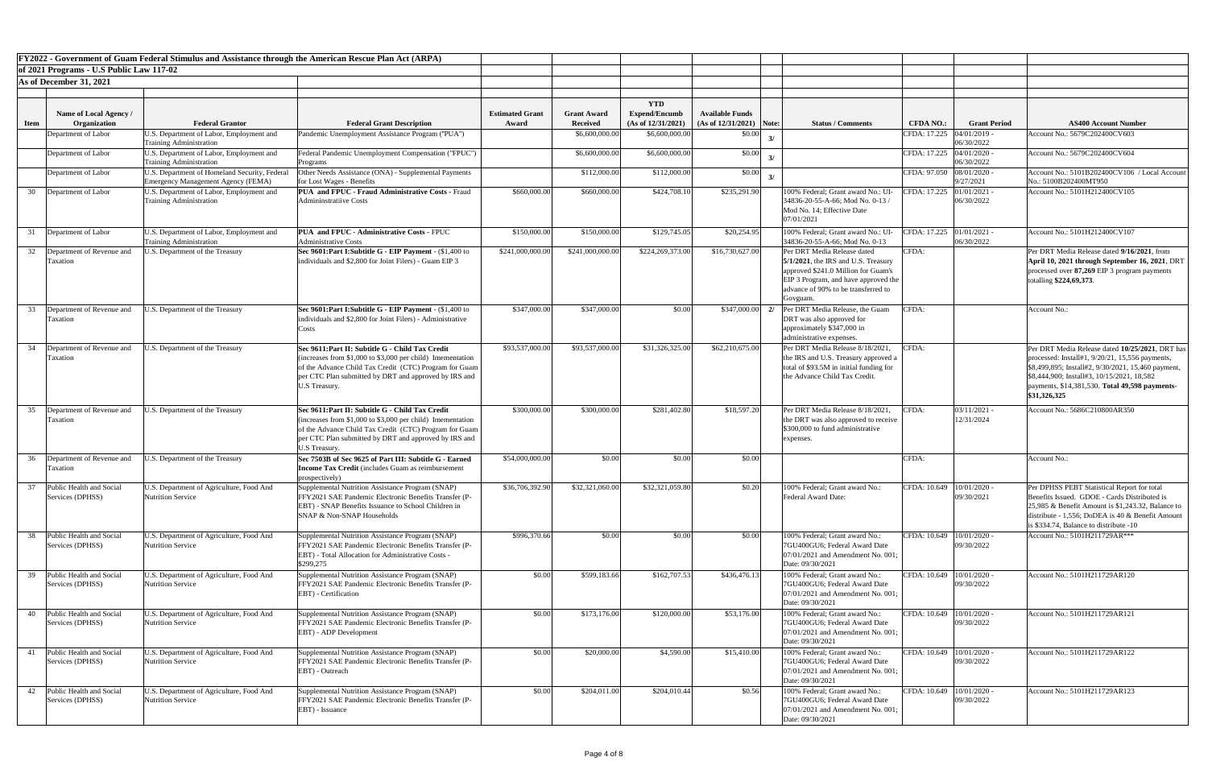|             |                                                 |                                                                                                              | FY2022 - Government of Guam Federal Stimulus and Assistance through the American Rescue Plan Act (ARPA)                                                                                                                                             |                                 |                                       |                                                          |                                                      |                                                                                                                                                                                                         |                             |                          |                                                                                                                                                                                                                                                                            |
|-------------|-------------------------------------------------|--------------------------------------------------------------------------------------------------------------|-----------------------------------------------------------------------------------------------------------------------------------------------------------------------------------------------------------------------------------------------------|---------------------------------|---------------------------------------|----------------------------------------------------------|------------------------------------------------------|---------------------------------------------------------------------------------------------------------------------------------------------------------------------------------------------------------|-----------------------------|--------------------------|----------------------------------------------------------------------------------------------------------------------------------------------------------------------------------------------------------------------------------------------------------------------------|
|             | of 2021 Programs - U.S Public Law 117-02        |                                                                                                              |                                                                                                                                                                                                                                                     |                                 |                                       |                                                          |                                                      |                                                                                                                                                                                                         |                             |                          |                                                                                                                                                                                                                                                                            |
|             | As of December 31, 2021                         |                                                                                                              |                                                                                                                                                                                                                                                     |                                 |                                       |                                                          |                                                      |                                                                                                                                                                                                         |                             |                          |                                                                                                                                                                                                                                                                            |
| <b>Item</b> | Name of Local Agency /<br><b>Organization</b>   | <b>Federal Grantor</b>                                                                                       | <b>Federal Grant Description</b>                                                                                                                                                                                                                    | <b>Estimated Grant</b><br>Award | <b>Grant Award</b><br><b>Received</b> | <b>YTD</b><br><b>Expend/Encumb</b><br>(As of 12/31/2021) | <b>Available Funds</b><br>$(As of 12/31/2021)$ Note: | <b>Status / Comments</b>                                                                                                                                                                                | <b>CFDA NO.:</b>            | <b>Grant Period</b>      | <b>AS400 Account Number</b>                                                                                                                                                                                                                                                |
|             | Department of Labor                             | J.S. Department of Labor, Employment and                                                                     | Pandemic Unemployment Assistance Program ("PUA")                                                                                                                                                                                                    |                                 | \$6,600,000.00                        | \$6,600,000.00                                           | \$0.00                                               |                                                                                                                                                                                                         | CFDA: 17.225                | 04/01/2019 -             | Account No.: 5679C202400CV603                                                                                                                                                                                                                                              |
|             | Department of Labor                             | <b>Training Administration</b><br>U.S. Department of Labor, Employment and<br><b>Training Administration</b> | Federal Pandemic Unemployment Compensation ("FPUC")<br>Programs                                                                                                                                                                                     |                                 | \$6,600,000.00                        | \$6,600,000.00                                           | \$0.00                                               |                                                                                                                                                                                                         | CFDA: 17.225 04/01/2020     | 06/30/2022<br>06/30/2022 | Account No.: 5679C202400CV604                                                                                                                                                                                                                                              |
|             | Department of Labor                             | U.S. Department of Homeland Security, Federal<br><b>Emergency Management Agency (FEMA)</b>                   | Other Needs Assistance (ONA) - Supplemental Payments<br>for Lost Wages - Benefits                                                                                                                                                                   |                                 | \$112,000.00                          | \$112,000.00                                             | \$0.00                                               |                                                                                                                                                                                                         | CFDA: 97.050 08/01/2020 -   | 9/27/2021                | Account No.: 5101B202400CV106 / Local Accoun<br>No.: 5100B202400MT950                                                                                                                                                                                                      |
| 30          | Department of Labor                             | U.S. Department of Labor, Employment and<br><b>Training Administration</b>                                   | <b>PUA and FPUC - Fraud Administrative Costs - Fraud</b><br><b>Admininstratiive Costs</b>                                                                                                                                                           | \$660,000.00                    | \$660,000.00                          | \$424,708.10                                             | \$235,291.90                                         | 100% Federal; Grant award No.: UI-<br>34836-20-55-A-66; Mod No. 0-13 /<br>Mod No. 14; Effective Date<br>07/01/2021                                                                                      | CFDA: 17.225 01/01/2021 -   | 06/30/2022               | Account No.: 5101H212400CV105                                                                                                                                                                                                                                              |
|             | Department of Labor                             | J.S. Department of Labor, Employment and<br><b>Training Administration</b>                                   | <b>PUA</b> and FPUC - Administrative Costs - FPUC<br><b>Administrative Costs</b>                                                                                                                                                                    | \$150,000.00                    | \$150,000.00                          | \$129,745.05                                             | \$20,254.95                                          | 100% Federal; Grant award No.: UI<br>34836-20-55-A-66; Mod No. 0-13                                                                                                                                     | CFDA: 17.225 01/01/2021 -   | 06/30/2022               | Account No.: 5101H212400CV107                                                                                                                                                                                                                                              |
|             | 32 Department of Revenue and<br><b>Taxation</b> | U.S. Department of the Treasury                                                                              | Sec 9601: Part I: Subtitle G - EIP Payment - (\$1,400 to<br>individuals and \$2,800 for Joint Filers) - Guam EIP 3                                                                                                                                  | \$241,000,000.00                | \$241,000,000.00                      | \$224,269,373.00                                         | \$16,730,627.00                                      | Per DRT Media Release dated<br>$5/1/2021$ , the IRS and U.S. Treasury<br>approved \$241.0 Million for Guam's<br>EIP 3 Program, and have approved the<br>advance of 90% to be transferred to<br>Govguam. | CFDA:                       |                          | Per DRT Media Release dated 9/16/2021, from<br>April 10, 2021 through September 16, 2021, DRT<br>processed over 87,269 EIP 3 program payments<br>totalling \$224,69,373.                                                                                                   |
| 33          | Department of Revenue and<br>Taxation           | J.S. Department of the Treasury                                                                              | Sec 9601: Part I: Subtitle G - EIP Payment - (\$1,400 to<br>individuals and \$2,800 for Joint Filers) - Administrative<br>Costs                                                                                                                     | \$347,000.00                    | \$347,000.00                          | \$0.00                                                   | \$347,000.00                                         | Per DRT Media Release, the Guam<br>DRT was also approved for<br>approximately \$347,000 in<br>administrative expenses.                                                                                  | CFDA:                       |                          | Account No.:                                                                                                                                                                                                                                                               |
| 34          | Department of Revenue and<br><b>Taxation</b>    | J.S. Department of the Treasury                                                                              | Sec 9611:Part II: Subtitle G - Child Tax Credit<br>(increases from $$1,000$ to $$3,000$ per child) Imementation<br>of the Advance Child Tax Credit (CTC) Program for Guam<br>per CTC Plan submitted by DRT and approved by IRS and<br>U.S Treasury. | \$93,537,000.00                 | \$93,537,000.00                       | \$31,326,325.00                                          | \$62,210,675.00                                      | Per DRT Media Release 8/18/2021<br>the IRS and U.S. Treasury approved a<br>total of \$93.5M in initial funding for<br>the Advance Child Tax Credit.                                                     | CFDA:                       |                          | Per DRT Media Release dated 10/25/2021, DRT ha<br>processed: Install#1, $9/20/21$ , 15,556 payments,<br>\$8,499,895; Install#2, 9/30/2021, 15,460 payment,<br>\$8,444,900; Install#3, 10/15/2021, 18,582<br>payments, \$14,381,530. Total 49,598 payments-<br>\$31,326,325 |
| 35          | Department of Revenue and<br><b>Taxation</b>    | U.S. Department of the Treasury                                                                              | Sec 9611: Part II: Subtitle G - Child Tax Credit<br>$(increases from $1,000 to $3,000 per child) Imementation$<br>of the Advance Child Tax Credit (CTC) Program for Guam<br>per CTC Plan submitted by DRT and approved by IRS and<br>U.S Treasury.  | \$300,000.00                    | \$300,000.00                          | \$281,402.80                                             | \$18,597.20                                          | Per DRT Media Release 8/18/2021.<br>the DRT was also approved to receive<br>\$300,000 to fund administrative<br>expenses.                                                                               | CFDA:                       | 03/11/2021<br>12/31/2024 | Account No.: 5686C210800AR350                                                                                                                                                                                                                                              |
| 36          | Department of Revenue and<br>Taxation           | J.S. Department of the Treasury                                                                              | Sec 7503B of Sec 9625 of Part III: Subtitle G - Earned<br><b>Income Tax Credit</b> (includes Guam as reimbursement<br>prospectively)                                                                                                                | \$54,000,000.00                 | \$0.00                                | \$0.00                                                   | \$0.00                                               |                                                                                                                                                                                                         | CFDA:                       |                          | Account No.:                                                                                                                                                                                                                                                               |
| 37          | Public Health and Social<br>Services (DPHSS)    | U.S. Department of Agriculture, Food And<br><b>Nutrition Service</b>                                         | Supplemental Nutrition Assistance Program (SNAP)<br>FFY2021 SAE Pandemic Electronic Benefits Transfer (P-<br><b>EBT)</b> - SNAP Benefits Issuance to School Children in<br>SNAP & Non-SNAP Households                                               | \$36,706,392.90                 | \$32,321,060.00                       | \$32,321,059.80                                          | \$0.20                                               | 100% Federal; Grant award No.:<br><b>Federal Award Date:</b>                                                                                                                                            | CFDA: 10.649   10/01/2020 - | 09/30/2021               | Per DPHSS PEBT Statistical Report for total<br>Benefits Issued. GDOE - Cards Distributed is<br>25,985 & Benefit Amount is $$1,243.32$ , Balance to<br>distribute - 1,556; DoDEA is 40 & Benefit Amount<br>is \$334.74, Balance to distribute -10                           |
| 38          | ublic Health and Social<br>Services (DPHSS)     | U.S. Department of Agriculture, Food And<br><b>Nutrition Service</b>                                         | Supplemental Nutrition Assistance Program (SNAP)<br>FFY2021 SAE Pandemic Electronic Benefits Transfer (P-<br>EBT) - Total Allocation for Administrative Costs -<br>\$299,275                                                                        | \$996,370.66                    | \$0.00                                | \$0.00                                                   | \$0.00                                               | 100% Federal; Grant award No.:<br>7GU400GU6; Federal Award Date<br>$[07/01/2021$ and Amendment No. 001;<br>Date: 09/30/2021                                                                             | CFDA: 10.649   10/01/2020 - | 09/30/2022               | Account No.: 5101H211729AR***                                                                                                                                                                                                                                              |
|             | Public Health and Social<br>Services (DPHSS)    | U.S. Department of Agriculture, Food And<br><b>Nutrition Service</b>                                         | Supplemental Nutrition Assistance Program (SNAP)<br>FFY2021 SAE Pandemic Electronic Benefits Transfer (P-<br>EBT) - Certification                                                                                                                   | \$0.00                          | \$599,183.66                          | \$162,707.53                                             | \$436,476.13                                         | 100% Federal: Grant award No.:<br>7GU400GU6; Federal Award Date<br>07/01/2021 and Amendment No. 001;<br>Date: 09/30/2021                                                                                | CFDA: 10.649   10/01/2020 - | 09/30/2022               | Account No.: 5101H211729AR120                                                                                                                                                                                                                                              |
| 40          | Public Health and Social<br>Services (DPHSS)    | U.S. Department of Agriculture, Food And<br><b>Nutrition Service</b>                                         | Supplemental Nutrition Assistance Program (SNAP)<br>FFY2021 SAE Pandemic Electronic Benefits Transfer (P-<br><b>EBT)</b> - ADP Development                                                                                                          | \$0.00                          | \$173,176.00                          | \$120,000.00                                             | \$53,176.00                                          | 100% Federal; Grant award No.:<br>7GU400GU6; Federal Award Date<br>$[07/01/2021$ and Amendment No. 001;<br>Date: 09/30/2021                                                                             | CFDA: 10.649   10/01/2020 - | 09/30/2022               | Account No.: 5101H211729AR121                                                                                                                                                                                                                                              |
| 41          | Public Health and Social<br>Services (DPHSS)    | U.S. Department of Agriculture, Food And<br><b>Nutrition Service</b>                                         | Supplemental Nutrition Assistance Program (SNAP)<br>FFY2021 SAE Pandemic Electronic Benefits Transfer (P-<br>EBT) - Outreach                                                                                                                        | \$0.00                          | \$20,000.00                           | \$4,590.00                                               | \$15,410.00                                          | 100% Federal; Grant award No.:<br>7GU400GU6; Federal Award Date<br>07/01/2021 and Amendment No. 001;<br>Date: 09/30/2021                                                                                | CFDA: 10.649   10/01/2020 - | 09/30/2022               | Account No.: 5101H211729AR122                                                                                                                                                                                                                                              |
|             | 42 Public Health and Social<br>Services (DPHSS) | U.S. Department of Agriculture, Food And<br><b>Nutrition Service</b>                                         | Supplemental Nutrition Assistance Program (SNAP)<br>FFY2021 SAE Pandemic Electronic Benefits Transfer (P-<br>EBT) - Issuance                                                                                                                        | \$0.00                          | \$204,011.00                          | \$204,010.44                                             | \$0.56                                               | 100% Federal; Grant award No.:<br>7GU400GU6; Federal Award Date<br>$[07/01/2021]$ and Amendment No. 001;<br>Date: 09/30/2021                                                                            | CFDA: 10.649   10/01/2020 - | 09/30/2022               | Account No.: 5101H211729AR123                                                                                                                                                                                                                                              |

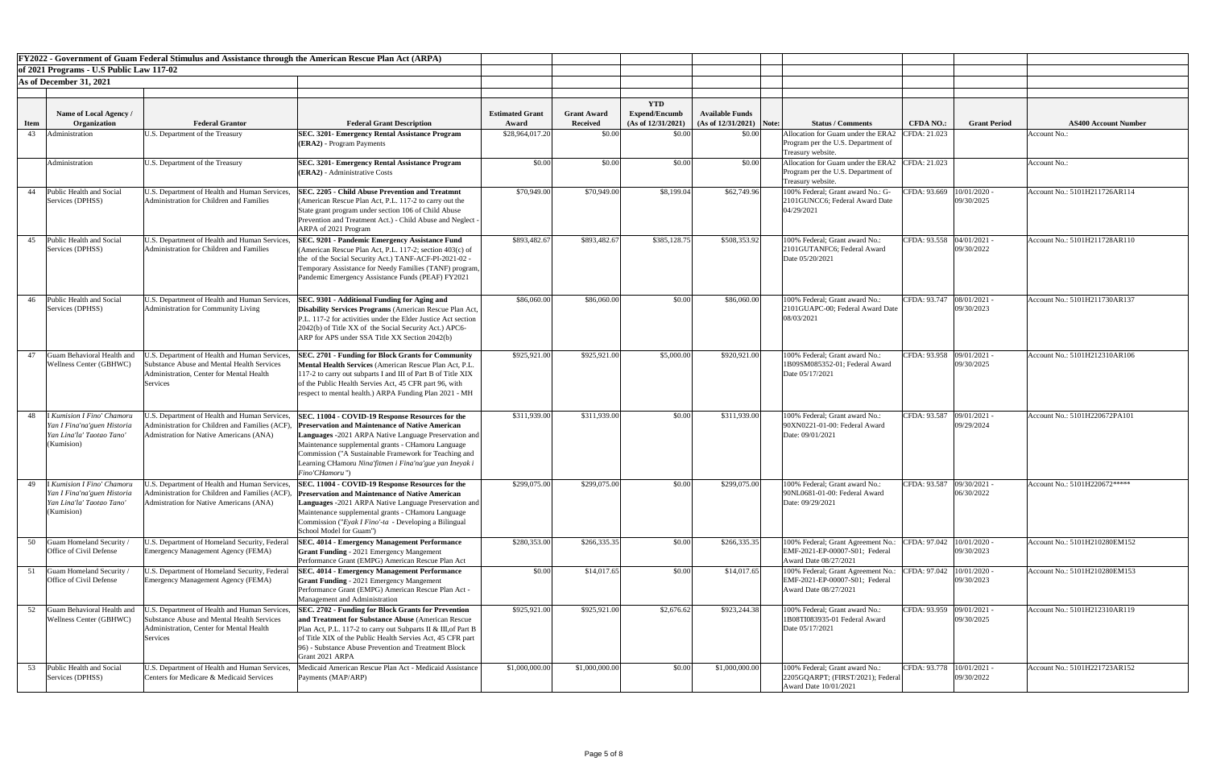|      |                                                                                                    | FY2022 - Government of Guam Federal Stimulus and Assistance through the American Rescue Plan Act (ARPA)                                                                                         |                                                                                                                                                                                                                                                                                                                                                                 |                        |                    |                                    |                            |                                                                                               |                             |                            |                               |
|------|----------------------------------------------------------------------------------------------------|-------------------------------------------------------------------------------------------------------------------------------------------------------------------------------------------------|-----------------------------------------------------------------------------------------------------------------------------------------------------------------------------------------------------------------------------------------------------------------------------------------------------------------------------------------------------------------|------------------------|--------------------|------------------------------------|----------------------------|-----------------------------------------------------------------------------------------------|-----------------------------|----------------------------|-------------------------------|
|      | of 2021 Programs - U.S Public Law 117-02                                                           |                                                                                                                                                                                                 |                                                                                                                                                                                                                                                                                                                                                                 |                        |                    |                                    |                            |                                                                                               |                             |                            |                               |
|      | As of December 31, 2021                                                                            |                                                                                                                                                                                                 |                                                                                                                                                                                                                                                                                                                                                                 |                        |                    |                                    |                            |                                                                                               |                             |                            |                               |
|      |                                                                                                    |                                                                                                                                                                                                 |                                                                                                                                                                                                                                                                                                                                                                 |                        |                    |                                    |                            |                                                                                               |                             |                            |                               |
|      | <b>Name of Local Agency</b> /                                                                      |                                                                                                                                                                                                 |                                                                                                                                                                                                                                                                                                                                                                 | <b>Estimated Grant</b> | <b>Grant Award</b> | <b>YTD</b><br><b>Expend/Encumb</b> | <b>Available Funds</b>     |                                                                                               |                             |                            |                               |
| Item | Organization                                                                                       | <b>Federal Grantor</b>                                                                                                                                                                          | <b>Federal Grant Description</b>                                                                                                                                                                                                                                                                                                                                | Award                  | <b>Received</b>    | (As of 12/31/2021)                 | $(As of 12/31/2021)$ Note: | <b>Status / Comments</b>                                                                      | <b>CFDA NO.:</b>            | <b>Grant Period</b>        | <b>AS400 Account Number</b>   |
| 43   | Administration                                                                                     | U.S. Department of the Treasury                                                                                                                                                                 | <b>SEC. 3201- Emergency Rental Assistance Program</b><br>(ERA2) - Program Payments                                                                                                                                                                                                                                                                              | \$28,964,017.20        | \$0.00             | \$0.00                             | \$0.00                     | Allocation for Guam under the ERA.<br>Program per the U.S. Department of<br>Treasury website. | CFDA: 21.023                |                            | Account No.:                  |
|      | Administration                                                                                     | U.S. Department of the Treasury                                                                                                                                                                 | <b>SEC. 3201- Emergency Rental Assistance Program</b><br>$ (\text{ERA2})$ - Administrative Costs                                                                                                                                                                                                                                                                | \$0.00                 | \$0.00             | \$0.00                             | \$0.00                     | Allocation for Guam under the ERA2<br>Program per the U.S. Department of<br>Treasury website. | CFDA: 21.023                |                            | Account No.:                  |
| 44   | Public Health and Social<br>Services (DPHSS)                                                       | J.S. Department of Health and Human Services,<br>Administration for Children and Families                                                                                                       | <b>SEC. 2205 - Child Abuse Prevention and Treatmnt</b><br>(American Rescue Plan Act, P.L. 117-2 to carry out the<br>State grant program under section 106 of Child Abuse<br>Prevention and Treatment Act.) - Child Abuse and Neglect -<br>ARPA of 2021 Program                                                                                                  | \$70,949.00            | \$70,949.00        | \$8,199.04                         | \$62,749.96                | 100% Federal; Grant award No.: G-<br>2101GUNCC6; Federal Award Date<br>04/29/2021             | CFDA: 93.669   10/01/2020 - | 09/30/2025                 | Account No.: 5101H211726AR114 |
| 45   | Public Health and Social<br>Services (DPHSS)                                                       | J.S. Department of Health and Human Services,<br><b>Administration for Children and Families</b>                                                                                                | <b>SEC. 9201 - Pandemic Emergency Assistance Fund</b><br>(American Rescue Plan Act, P.L. 117-2; section $403(c)$ of<br>the of the Social Security Act.) TANF-ACF-PI-2021-02 -<br>Temporary Assistance for Needy Families (TANF) program,<br>Pandemic Emergency Assistance Funds (PEAF) FY2021                                                                   | \$893,482.67           | \$893,482.67       | \$385,128.75                       | \$508,353.92               | 100% Federal; Grant award No.:<br>2101GUTANFC6; Federal Award<br>Date 05/20/2021              | CFDA: 93.558 04/01/2021 -   | 09/30/2022                 | Account No.: 5101H211728AR110 |
| 46   | Public Health and Social<br>Services (DPHSS)                                                       | J.S. Department of Health and Human Services,<br>Administration for Community Living                                                                                                            | SEC. 9301 - Additional Funding for Aging and<br><b>Disability Services Programs</b> (American Rescue Plan Act,<br>P.L. 117-2 for activities under the Elder Justice Act section<br>(2042(b) of Title XX of the Social Security Act.) APC6-<br>ARP for APS under SSA Title XX Section 2042(b)                                                                    | \$86,060.0             | \$86,060.00        | \$0.00                             | \$86,060.00                | 100% Federal; Grant award No.:<br>2101GUAPC-00; Federal Award Date<br>08/03/2021              | CFDA: 93.747   08/01/2021 - | 09/30/2023                 | Account No.: 5101H211730AR137 |
|      | Guam Behavioral Health and<br>Wellness Center (GBHWC)                                              | J.S. Department of Health and Human Services,<br><b>Substance Abuse and Mental Health Services</b><br><b>Administration, Center for Mental Health</b><br>Services                               | <b>SEC. 2701 - Funding for Block Grants for Community</b><br>Mental Health Services (American Rescue Plan Act, P.L.<br>117-2 to carry out subparts I and III of Part B of Title XIX<br>of the Public Health Servies Act, 45 CFR part 96, with<br>respect to mental health.) ARPA Funding Plan 2021 - MH                                                         | \$925,921.0            | \$925,921.00       | \$5,000.00                         | \$920,921.00               | 100% Federal; Grant award No.:<br>1B09SM085352-01; Federal Award<br>Date 05/17/2021           | CFDA: 93.958                | 09/01/2021 -<br>09/30/2025 | Account No.: 5101H212310AR106 |
|      | Kumision I Fino' Chamoru<br>Yan I Fina'na'guen Historia<br>Yan Lina'la' Taotao Tano'<br>(Kumision) | J.S. Department of Health and Human Services,<br>Administration for Children and Families (ACF<br><b>Admistration for Native Americans (ANA)</b>                                                | SEC. 11004 - COVID-19 Response Resources for the<br><b>Preservation and Maintenance of Native American</b><br>Languages -2021 ARPA Native Language Preservation and<br>Maintenance supplemental grants - CHamoru Language<br>Commission ("A Sustainable Framework for Teaching and<br>Learning CHamoru Nina'fitmen i Fina'na'gue yan Ineyak i<br>Fino'CHamoru") | \$311,939.00           | \$311,939.00       | \$0.00                             | \$311,939.00               | 100% Federal; Grant award No.:<br>90XN0221-01-00: Federal Award<br>Date: 09/01/2021           | CFDA: 93.587 09/01/2021 -   | 09/29/2024                 | Account No.: 5101H220672PA101 |
| 49   | Kumision I Fino' Chamoru<br>Yan I Fina'na'guen Historia<br>Yan Lina'la' Taotao Tano'<br>(Kumision) | J.S. Department of Health and Human Services,<br>Administration for Children and Families (ACF<br><b>Admistration for Native Americans (ANA)</b>                                                | SEC. 11004 - COVID-19 Response Resources for the<br>Preservation and Maintenance of Native American<br>Languages -2021 ARPA Native Language Preservation and<br>Maintenance supplemental grants - CHamoru Language<br>Commission ("Eyak I Fino'-ta - Developing a Bilingual<br>School Model for Guam")                                                          | \$299,075.00           | \$299,075.00       | \$0.00                             | \$299,075.00               | 100% Federal; Grant award No.:<br>90NL0681-01-00: Federal Award<br>Date: 09/29/2021           | CFDA: 93.587 09/30/2021 -   | 06/30/2022                 | Account No.: 5101H220672***** |
| 50   | <b>Guam Homeland Security</b><br><b>Office of Civil Defense</b>                                    | J.S. Department of Homeland Security, Federal<br>Emergency Management Agency (FEMA)                                                                                                             | <b>SEC. 4014 - Emergency Management Performance</b><br><b>Grant Funding</b> - 2021 Emergency Mangement<br>Performance Grant (EMPG) American Rescue Plan Act                                                                                                                                                                                                     | \$280,353.0            | \$266,335.35       | \$0.00                             | \$266,335.35               | 100% Federal; Grant Agreement No.:<br>EMF-2021-EP-00007-S01; Federal<br>Award Date 08/27/2021 | CFDA: 97.042   10/01/2020 - | 09/30/2023                 | Account No.: 5101H210280EM152 |
| 51   | <b>Guam Homeland Security /</b><br><b>Office of Civil Defense</b>                                  | U.S. Department of Homeland Security, Federal<br>Emergency Management Agency (FEMA)                                                                                                             | <b>SEC. 4014 - Emergency Management Performance</b><br><b>Grant Funding - 2021 Emergency Mangement</b><br>Performance Grant (EMPG) American Rescue Plan Act -<br>Management and Administration                                                                                                                                                                  | \$0.00                 | \$14,017.65        | \$0.00                             | \$14,017.65                | 100% Federal; Grant Agreement No.:<br>EMF-2021-EP-00007-S01; Federal<br>Award Date 08/27/2021 | CFDA: 97.042   10/01/2020 - | 09/30/2023                 | Account No.: 5101H210280EM153 |
|      | Wellness Center (GBHWC)                                                                            | 52 Guam Behavioral Health and U.S. Department of Health and Human Services,<br><b>Substance Abuse and Mental Health Services</b><br><b>Administration, Center for Mental Health</b><br>Services | <b>SEC. 2702 - Funding for Block Grants for Prevention</b><br>and Treatment for Substance Abuse (American Rescue)<br>Plan Act, P.L. 117-2 to carry out Subparts II & III, of Part B<br>of Title XIX of the Public Health Servies Act, 45 CFR part<br>[96] - Substance Abuse Prevention and Treatment Block<br>Grant 2021 ARPA                                   | \$925,921.00           | \$925,921.00       | \$2,676.62                         | \$923,244.38               | 100% Federal; Grant award No.:<br>1B08TI083935-01 Federal Award<br>Date 05/17/2021            | CFDA: 93.959 09/01/2021 -   | 09/30/2025                 | Account No.: 5101H212310AR119 |
| 53   | Public Health and Social<br>Services (DPHSS)                                                       | U.S. Department of Health and Human Services,<br>Centers for Medicare & Medicaid Services                                                                                                       | Medicaid American Rescue Plan Act - Medicaid Assistance<br>Payments (MAP/ARP)                                                                                                                                                                                                                                                                                   | \$1,000,000.00         | \$1,000,000.00     | \$0.00                             | \$1,000,000.00             | 100% Federal; Grant award No.:<br>[2205GQART; (FIRST/2021); Federal]<br>Award Date 10/01/2021 | CFDA: 93.778   10/01/2021 - | 09/30/2022                 | Account No.: 5101H221723AR152 |

| nt Number     |
|---------------|
|               |
|               |
|               |
|               |
|               |
|               |
|               |
|               |
|               |
| 5AR114        |
|               |
|               |
|               |
|               |
|               |
|               |
| 3AR110        |
|               |
|               |
|               |
|               |
|               |
|               |
|               |
| 0AR137        |
|               |
|               |
|               |
|               |
|               |
|               |
|               |
| <b>JAR106</b> |
|               |
|               |
|               |
|               |
|               |
|               |
|               |
|               |
| 2PA101        |
|               |
|               |
|               |
|               |
|               |
|               |
|               |
|               |
|               |
| 2*****        |
|               |
|               |
|               |
|               |
|               |
|               |
|               |
|               |
| DEM152        |
|               |
|               |
|               |
| <b>JEM153</b> |
|               |
|               |
|               |
|               |
| 0AR119        |
|               |
|               |
|               |
|               |
|               |
|               |
|               |
|               |
| 3AR152        |
|               |
|               |
|               |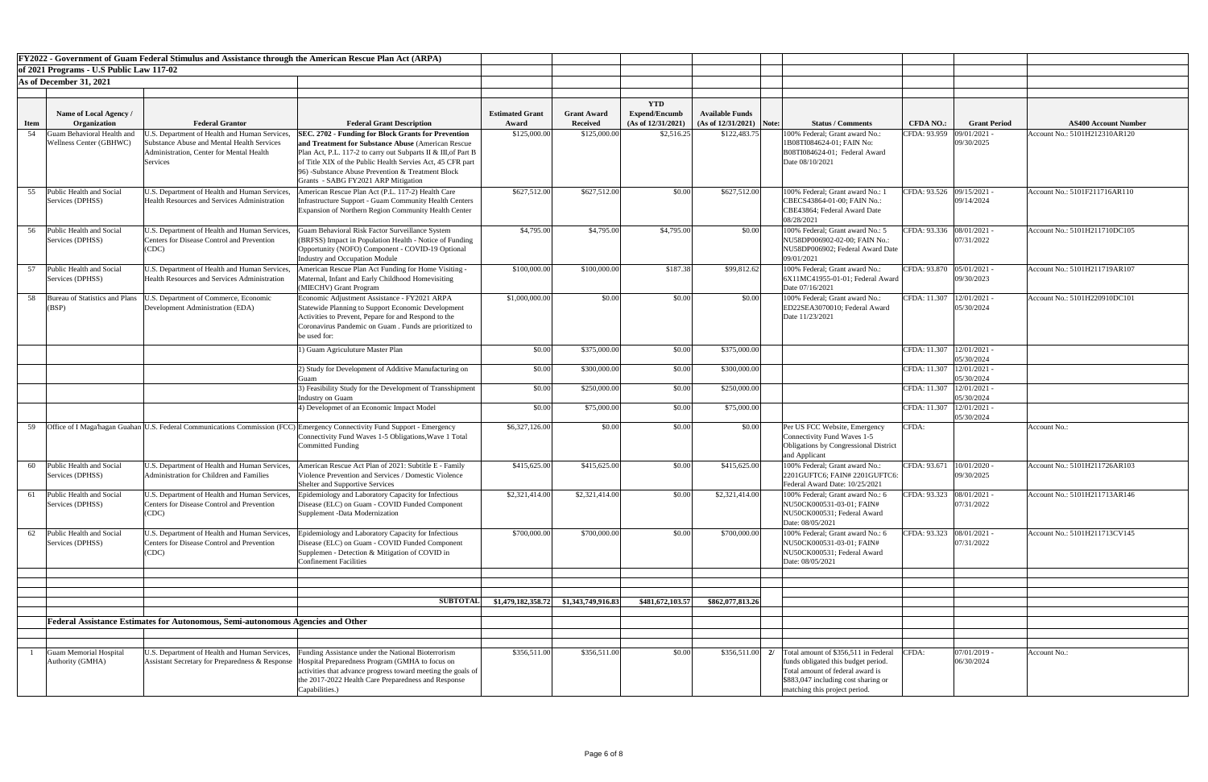|             |                                                       | <b>FY2022 - Government of Guam Federal Stimulus and Assistance through the American Rescue Plan Act (ARPA)</b>                                                    |                                                                                                                                                                                                                                                                                                                                               |                                 |                                       |                                                          |                                                      |                                                                                                                                                                                         |                             |                              |                               |
|-------------|-------------------------------------------------------|-------------------------------------------------------------------------------------------------------------------------------------------------------------------|-----------------------------------------------------------------------------------------------------------------------------------------------------------------------------------------------------------------------------------------------------------------------------------------------------------------------------------------------|---------------------------------|---------------------------------------|----------------------------------------------------------|------------------------------------------------------|-----------------------------------------------------------------------------------------------------------------------------------------------------------------------------------------|-----------------------------|------------------------------|-------------------------------|
|             | of 2021 Programs - U.S Public Law 117-02              |                                                                                                                                                                   |                                                                                                                                                                                                                                                                                                                                               |                                 |                                       |                                                          |                                                      |                                                                                                                                                                                         |                             |                              |                               |
|             | As of December 31, 2021                               |                                                                                                                                                                   |                                                                                                                                                                                                                                                                                                                                               |                                 |                                       |                                                          |                                                      |                                                                                                                                                                                         |                             |                              |                               |
| <b>Item</b> | Name of Local Agency /<br>Organization                | <b>Federal Grantor</b>                                                                                                                                            | <b>Federal Grant Description</b>                                                                                                                                                                                                                                                                                                              | <b>Estimated Grant</b><br>Award | <b>Grant Award</b><br><b>Received</b> | <b>YTD</b><br><b>Expend/Encumb</b><br>(As of 12/31/2021) | <b>Available Funds</b><br>$(As of 12/31/2021)$ Note: | <b>Status / Comments</b>                                                                                                                                                                | <b>CFDA NO.:</b>            | <b>Grant Period</b>          | <b>AS400 Account Number</b>   |
| 54          | Juam Behavioral Health and<br>Wellness Center (GBHWC) | J.S. Department of Health and Human Services,<br><b>Substance Abuse and Mental Health Services</b><br><b>Administration, Center for Mental Health</b><br>Services | <b>SEC. 2702 - Funding for Block Grants for Prevention</b><br>and Treatment for Substance Abuse (American Rescue)<br>Plan Act, P.L. 117-2 to carry out Subparts II & III, of Part B<br>of Title XIX of the Public Health Servies Act, 45 CFR part<br>96) -Substance Abuse Prevention & Treatment Block<br>Grants - SABG FY2021 ARP Mitigation | \$125,000.00                    | \$125,000.00                          | \$2,516.25                                               | \$122,483.75                                         | 100% Federal; Grant award No.:<br>1B08TI084624-01; FAIN No:<br>B08TI084624-01; Federal Award<br>Date 08/10/2021                                                                         | CFDA: 93.959                | 09/01/2021 -<br>09/30/2025   | Account No.: 5101H212310AR120 |
| 55          | Public Health and Social<br>Services (DPHSS)          | J.S. Department of Health and Human Services,<br><b>Health Resources and Services Administration</b>                                                              | American Rescue Plan Act (P.L. 117-2) Health Care<br>Infrastructure Support - Guam Community Health Centers<br>Expansion of Northern Region Community Health Center                                                                                                                                                                           | \$627,512.00                    | \$627,512.00                          | \$0.00                                                   | \$627,512.00                                         | 100% Federal; Grant award No.: 1<br>CBECS43864-01-00; FAIN No.:<br>CBE43864; Federal Award Date<br>08/28/2021                                                                           | CFDA: 93.526 09/15/2021 -   | 09/14/2024                   | Account No.: 5101F211716AR110 |
| 56          | Public Health and Social<br>Services (DPHSS)          | J.S. Department of Health and Human Services,<br><b>Centers for Disease Control and Prevention</b><br>(CDC)                                                       | Guam Behavioral Risk Factor Surveillance System<br>(BRFSS) Impact in Population Health - Notice of Funding<br>Opportunity (NOFO) Component - COVID-19 Optional<br>Industry and Occupation Module                                                                                                                                              | \$4,795.00                      | \$4,795.00                            | \$4,795.00                                               | \$0.00                                               | 100% Federal; Grant award No.: 5<br>NU58DP006902-02-00; FAIN No.:<br>NU58DP006902; Federal Award Date<br>09/01/2021                                                                     | CFDA: 93.336   08/01/2021 - | 07/31/2022                   | Account No.: 5101H211710DC105 |
| 57          | <b>Public Health and Social</b><br>Services (DPHSS)   | J.S. Department of Health and Human Services,<br><b>Health Resources and Services Administration</b>                                                              | American Rescue Plan Act Funding for Home Visiting -<br>Maternal, Infant and Early Childhood Homevisiting<br>(MIECHV) Grant Program                                                                                                                                                                                                           | \$100,000.0                     | \$100,000.00                          | \$187.38                                                 | \$99,812.62                                          | 100% Federal; Grant award No.:<br>6X11MC41955-01-01; Federal Award<br>Date 07/16/2021                                                                                                   | CFDA: 93.870                | 05/01/2021 -<br>09/30/2023   | Account No.: 5101H211719AR107 |
| 58          | Bureau of Statistics and Plans<br><b>BSP</b>          | U.S. Department of Commerce, Economic<br>Development Administration (EDA)                                                                                         | Economic Adjustment Assistance - FY2021 ARPA<br>Statewide Planning to Support Economic Development<br>Activities to Prevent, Pepare for and Respond to the<br>Coronavirus Pandemic on Guam. Funds are prioritized to<br>be used for:                                                                                                          | \$1,000,000.0                   | \$0.00                                | \$0.00                                                   | \$0.00                                               | 100% Federal; Grant award No.:<br>ED22SEA3070010; Federal Award<br>Date 11/23/2021                                                                                                      | CFDA: 11.307                | $12/01/2021$ -<br>05/30/2024 | Account No.: 5101H220910DC101 |
|             |                                                       |                                                                                                                                                                   | 1) Guam Agriculuture Master Plan                                                                                                                                                                                                                                                                                                              | \$0.00                          | \$375,000.00                          | \$0.00                                                   | \$375,000.00                                         |                                                                                                                                                                                         | CFDA: 11.307   12/01/2021 - | 05/30/2024                   |                               |
|             |                                                       |                                                                                                                                                                   | 2) Study for Development of Additive Manufacturing on                                                                                                                                                                                                                                                                                         | \$0.00                          | \$300,000.00                          | \$0.00                                                   | \$300,000.00                                         |                                                                                                                                                                                         | CFDA: 11.307   12/01/2021 - | 05/30/2024                   |                               |
|             |                                                       |                                                                                                                                                                   | 3) Feasibility Study for the Development of Transshipment<br>Industry on Guam                                                                                                                                                                                                                                                                 | \$0.00                          | \$250,000.00                          | \$0.00                                                   | \$250,000.00                                         |                                                                                                                                                                                         | CFDA: 11.307                | $12/01/2021$ -<br>05/30/2024 |                               |
|             |                                                       |                                                                                                                                                                   | 4) Developmet of an Economic Impact Model                                                                                                                                                                                                                                                                                                     | \$0.00                          | \$75,000.00                           | \$0.00                                                   | \$75,000.00                                          |                                                                                                                                                                                         | CFDA: 11.307   12/01/2021 - | 05/30/2024                   |                               |
| 59          |                                                       |                                                                                                                                                                   | Office of I Maga hagan Guahan U.S. Federal Communications Commission (FCC) Emergency Connectivity Fund Support - Emergency<br>Connectivity Fund Waves 1-5 Obligations, Wave 1 Total<br><b>Committed Funding</b>                                                                                                                               | \$6,327,126.00                  | \$0.00                                | \$0.00                                                   | \$0.00                                               | Per US FCC Website, Emergency<br>Connectivity Fund Waves 1-5<br>Obligations by Congressional District<br>and Applicant                                                                  | CFDA:                       |                              | Account No.:                  |
| 60          | Public Health and Social<br>Services (DPHSS)          | U.S. Department of Health and Human Services,<br><b>Administration for Children and Families</b>                                                                  | American Rescue Act Plan of 2021: Subtitle E - Family<br>Violence Prevention and Services / Domestic Violence<br>Shelter and Supportive Services                                                                                                                                                                                              | \$415,625.00                    | \$415,625.00                          | \$0.00                                                   | \$415,625.00                                         | 100% Federal; Grant award No.:<br>2201GUFTC6; FAIN# 2201GUFTC6:<br>Federal Award Date: 10/25/2021                                                                                       | CFDA: 93.671                | $10/01/2020$ -<br>09/30/2025 | Account No.: 5101H211726AR103 |
| 61          | Public Health and Social<br>Services (DPHSS)          | U.S. Department of Health and Human Services,<br><b>Centers for Disease Control and Prevention</b><br>(CDC)                                                       | Epidemiology and Laboratory Capacity for Infectious<br>Disease (ELC) on Guam - COVID Funded Component<br>Supplement -Data Modernization                                                                                                                                                                                                       | \$2,321,414.00                  | \$2,321,414.00                        | \$0.00                                                   | \$2,321,414.00                                       | 100% Federal; Grant award No.: 6<br>NU50CK000531-03-01; FAIN#<br>NU50CK000531; Federal Award<br>Date: 08/05/2021                                                                        | CFDA: 93.323 08/01/2021 -   | 07/31/2022                   | Account No.: 5101H211713AR146 |
| 62          | Public Health and Social<br>Services (DPHSS)          | U.S. Department of Health and Human Services,<br><b>Centers for Disease Control and Prevention</b><br>(CDC)                                                       | Epidemiology and Laboratory Capacity for Infectious<br>Disease (ELC) on Guam - COVID Funded Component<br>Supplemen - Detection & Mitigation of COVID in<br><b>Confinement Facilities</b>                                                                                                                                                      | \$700,000.00                    | \$700,000.00                          | \$0.00                                                   | \$700,000.00                                         | 100% Federal; Grant award No.: 6<br>NU50CK000531-03-01; FAIN#<br>NU50CK000531; Federal Award<br>Date: 08/05/2021                                                                        | CFDA: 93.323 08/01/2021 -   | 07/31/2022                   | Account No.: 5101H211713CV145 |
|             |                                                       |                                                                                                                                                                   |                                                                                                                                                                                                                                                                                                                                               |                                 |                                       |                                                          |                                                      |                                                                                                                                                                                         |                             |                              |                               |
|             |                                                       |                                                                                                                                                                   | <b>SUBTOTAL</b>                                                                                                                                                                                                                                                                                                                               | \$1,479,182,358.72              | \$1,343,749,916.83                    | \$481,672,103.57                                         | \$862,077,813.26                                     |                                                                                                                                                                                         |                             |                              |                               |
|             |                                                       | Federal Assistance Estimates for Autonomous, Semi-autonomous Agencies and Other                                                                                   |                                                                                                                                                                                                                                                                                                                                               |                                 |                                       |                                                          |                                                      |                                                                                                                                                                                         |                             |                              |                               |
|             | <b>Guam Memorial Hospital</b><br>Authority (GMHA)     | U.S. Department of Health and Human Services,<br>Assistant Secretary for Preparedness & Response                                                                  | Funding Assistance under the National Bioterrorism<br>Hospital Preparedness Program (GMHA to focus on<br>activities that advance progress toward meeting the goals of<br>the 2017-2022 Health Care Preparedness and Response<br>Capabilities.)                                                                                                | \$356,511.00                    | \$356,511.00                          | \$0.00                                                   | $$356,511.00$ 2/                                     | Total amount of \$356,511 in Federal<br>funds obligated this budget period.<br>Total amount of federal award is<br>\$883,047 including cost sharing or<br>matching this project period. | CFDA:                       | $07/01/2019$ -<br>06/30/2024 | Account No.:                  |

| nt Number<br><b>DAR120</b> |
|----------------------------|
|                            |
|                            |
|                            |
|                            |
|                            |
| AR <sub>110</sub>          |
|                            |
|                            |
| DC105                      |
|                            |
|                            |
|                            |
| $\overline{\text{PAR}107}$ |
|                            |
|                            |
| $\overline{DC101}$         |
|                            |
|                            |
|                            |
|                            |
|                            |
|                            |
|                            |
|                            |
|                            |
|                            |
|                            |
|                            |
|                            |
|                            |
| 5AR103                     |
|                            |
|                            |
| 3AR146                     |
|                            |
|                            |
| $\overline{3CV145}$        |
|                            |
|                            |
|                            |
|                            |
|                            |
|                            |
|                            |
|                            |
|                            |
|                            |
|                            |
|                            |
|                            |
|                            |
|                            |
|                            |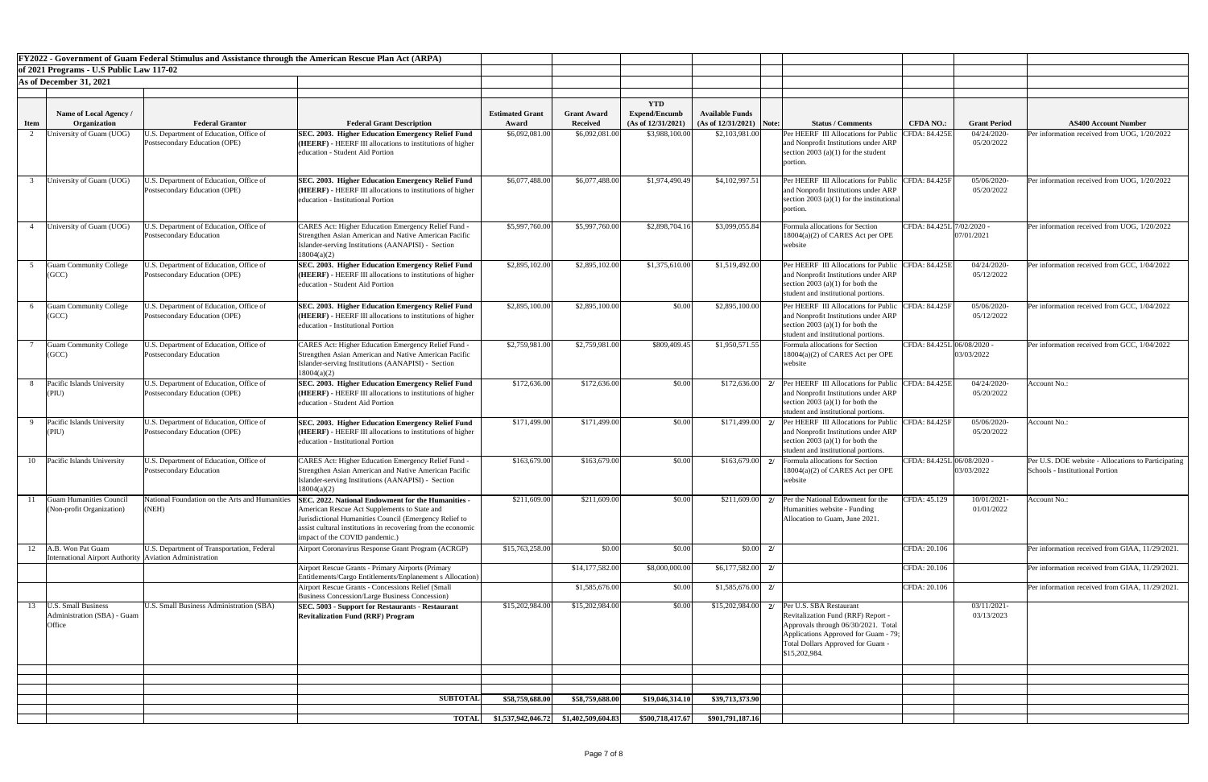|             |                                                                              | <b>FY2022 - Government of Guam Federal Stimulus and Assistance through the American Rescue Plan Act (ARPA)</b> |                                                                                                                                                                                                                                                                |                                               |                                       |                                                          |                                                      |    |                                                                                                                                                                                                                        |                            |                           |                                                                                       |
|-------------|------------------------------------------------------------------------------|----------------------------------------------------------------------------------------------------------------|----------------------------------------------------------------------------------------------------------------------------------------------------------------------------------------------------------------------------------------------------------------|-----------------------------------------------|---------------------------------------|----------------------------------------------------------|------------------------------------------------------|----|------------------------------------------------------------------------------------------------------------------------------------------------------------------------------------------------------------------------|----------------------------|---------------------------|---------------------------------------------------------------------------------------|
|             | of 2021 Programs - U.S Public Law 117-02                                     |                                                                                                                |                                                                                                                                                                                                                                                                |                                               |                                       |                                                          |                                                      |    |                                                                                                                                                                                                                        |                            |                           |                                                                                       |
|             | As of December 31, 2021                                                      |                                                                                                                |                                                                                                                                                                                                                                                                |                                               |                                       |                                                          |                                                      |    |                                                                                                                                                                                                                        |                            |                           |                                                                                       |
| <b>Item</b> | Name of Local Agency /<br>Organization                                       | <b>Federal Grantor</b>                                                                                         | <b>Federal Grant Description</b>                                                                                                                                                                                                                               | <b>Estimated Grant</b><br>Award               | <b>Grant Award</b><br><b>Received</b> | <b>YTD</b><br><b>Expend/Encumb</b><br>(As of 12/31/2021) | <b>Available Funds</b><br>$(As of 12/31/2021)$ Note: |    | <b>Status / Comments</b>                                                                                                                                                                                               | <b>CFDA NO.:</b>           | <b>Grant Period</b>       | <b>AS400 Account Number</b>                                                           |
|             | Jniversity of Guam (UOG)                                                     | J.S. Department of Education, Office of<br><b>Postsecondary Education (OPE)</b>                                | SEC. 2003. Higher Education Emergency Relief Fund<br>( <b>HEERF</b> ) - HEERF III allocations to institutions of higher<br>education - Student Aid Portion                                                                                                     | \$6,092,081.00                                | \$6,092,081.00                        | \$3,988,100.00                                           | \$2,103,981.00                                       |    | Per HEERF III Allocations for Publi<br>and Nonprofit Institutions under ARP<br>section 2003 (a)(1) for the student<br>portion.                                                                                         | <b>CFDA: 84.425E</b>       | 04/24/2020-<br>05/20/2022 | Per information received from UOG, 1/20/2022                                          |
|             | University of Guam (UOG)                                                     | J.S. Department of Education, Office of<br>Postsecondary Education (OPE)                                       | SEC. 2003. Higher Education Emergency Relief Fund<br>( <b>HEERF</b> ) - HEERF III allocations to institutions of higher<br>education - Institutional Portion                                                                                                   | \$6,077,488.00                                | \$6,077,488.00                        | \$1,974,490.49                                           | \$4,102,997.51                                       |    | Per HEERF III Allocations for Public<br>and Nonprofit Institutions under ARP<br>section 2003 (a)(1) for the institutional<br>portion                                                                                   | CFDA: 84.425F              | 05/06/2020-<br>05/20/2022 | Per information received from UOG, 1/20/2022                                          |
|             | University of Guam (UOG)                                                     | J.S. Department of Education, Office of<br>Postsecondary Education                                             | CARES Act: Higher Education Emergency Relief Fund -<br>Strengthen Asian American and Native American Pacific<br>Islander-serving Institutions (AANAPISI) - Section<br>18004(a)(2)                                                                              | \$5,997,760.00                                | \$5,997,760.00                        | \$2,898,704.16                                           | \$3,099,055.84                                       |    | Formula allocations for Section<br>18004(a)(2) of CARES Act per OPE<br>website                                                                                                                                         | CFDA: 84.425L 7/02/2020 -  | 07/01/2021                | Per information received from UOG, 1/20/2022                                          |
|             | <b>Guam Community College</b><br>(GCC)                                       | J.S. Department of Education, Office of<br>Postsecondary Education (OPE)                                       | SEC. 2003. Higher Education Emergency Relief Fund<br>( <b>HEERF</b> ) - HEERF III allocations to institutions of higher<br>education - Student Aid Portion                                                                                                     | \$2,895,102.00                                | \$2,895,102.00                        | \$1,375,610.00                                           | \$1,519,492.00                                       |    | Per HEERF III Allocations for Public<br>and Nonprofit Institutions under ARP<br>section 2003 (a)(1) for both the<br>student and institutional portions.                                                                | CFDA: 84.425E              | 04/24/2020-<br>05/12/2022 | Per information received from GCC, 1/04/2022                                          |
|             | <b>Guam Community College</b><br>(GCC)                                       | J.S. Department of Education, Office of<br>Postsecondary Education (OPE)                                       | SEC. 2003. Higher Education Emergency Relief Fund<br>(HEERF) - HEERF III allocations to institutions of higher<br>education - Institutional Portion                                                                                                            | \$2,895,100.00                                | \$2,895,100.00                        | \$0.00                                                   | \$2,895,100.00                                       |    | Per HEERF III Allocations for Public<br>and Nonprofit Institutions under ARP<br>section 2003 (a)(1) for both the<br>student and institutional portions.                                                                | <b>CFDA: 84.425F</b>       | 05/06/2020-<br>05/12/2022 | Per information received from GCC, 1/04/2022                                          |
|             | <b>Guam Community College</b><br>(GCC)                                       | J.S. Department of Education, Office of<br>Postsecondary Education                                             | <b>CARES Act: Higher Education Emergency Relief Fund -</b><br>Strengthen Asian American and Native American Pacific<br>Islander-serving Institutions (AANAPISI) - Section<br>18004(a)(2)                                                                       | \$2,759,981.00                                | \$2,759,981.00                        | \$809,409.45                                             | \$1,950,571.55                                       |    | Formula allocations for Section<br>$18004(a)(2)$ of CARES Act per OPE<br>website                                                                                                                                       | CFDA: 84.425L 06/08/2020 - | 03/03/2022                | Per information received from GCC, 1/04/2022                                          |
|             | Pacific Islands University<br>(PIU)                                          | J.S. Department of Education, Office of<br>Postsecondary Education (OPE)                                       | SEC. 2003. Higher Education Emergency Relief Fund<br>( <b>HEERF</b> ) - HEERF III allocations to institutions of higher<br>education - Student Aid Portion                                                                                                     | \$172,636.00                                  | \$172,636.00                          | \$0.00                                                   | \$172,636.00                                         | 2/ | <b>Per HEERF</b> III Allocations for Public<br>and Nonprofit Institutions under ARP<br>section 2003 (a)(1) for both the<br>student and institutional portions.                                                         | CFDA: 84.425E              | 04/24/2020<br>05/20/2022  | <b>Account No.:</b>                                                                   |
|             | Pacific Islands University                                                   | J.S. Department of Education, Office of<br>Postsecondary Education (OPE)                                       | SEC. 2003. Higher Education Emergency Relief Fund<br><b>HEERF</b> ) - HEERF III allocations to institutions of higher<br>education - Institutional Portion                                                                                                     | \$171,499.00                                  | \$171,499.00                          | \$0.00                                                   | \$171,499.00                                         | 2/ | Per HEERF III Allocations for Publi<br>and Nonprofit Institutions under ARP<br>section 2003 (a)(1) for both the<br>student and institutional portions.                                                                 | <b>CFDA: 84.425F</b>       | 05/06/2020<br>05/20/2022  | Account No.:                                                                          |
| 10          | Pacific Islands University                                                   | J.S. Department of Education, Office of<br>Postsecondary Education                                             | CARES Act: Higher Education Emergency Relief Fund -<br>Strengthen Asian American and Native American Pacific<br>Islander-serving Institutions (AANAPISI) - Section<br>18004(a)(2)                                                                              | \$163,679.00                                  | \$163,679.00                          | \$0.00                                                   |                                                      |    | $$163,679.00$ 2/ Formula allocations for Section<br>$18004(a)(2)$ of CARES Act per OPE<br>website                                                                                                                      | CFDA: 84.425L 06/08/2020 - | 03/03/2022                | Per U.S. DOE website - Allocations to Participatin<br>Schools - Institutional Portion |
|             | <b>Guam Humanities Council</b><br>(Non-profit Organization)                  | National Foundation on the Arts and Humanities<br>(NEH)                                                        | SEC. 2022. National Endowment for the Humanities -<br>American Rescue Act Supplements to State and<br>Jurisdictional Humanities Council (Emergency Relief to<br>assist cultural institutions in recovering from the economic<br>impact of the COVID pandemic.) | \$211,609.00                                  | \$211,609.00                          | \$0.00                                                   | \$211,609.00                                         | 2/ | Per the National Edowment for the<br>Humanities website - Funding<br>Allocation to Guam, June 2021.                                                                                                                    | CFDA: 45.129               | 10/01/2021-<br>01/01/2022 | Account No.:                                                                          |
| 12          | A.B. Won Pat Guam<br>International Airport Authority Aviation Administration | U.S. Department of Transportation, Federal                                                                     | Airport Coronavirus Response Grant Program (ACRGP)                                                                                                                                                                                                             | \$15,763,258.00                               | \$0.00                                | \$0.00                                                   | $\vert 0.00 \vert \vert 2$                           |    |                                                                                                                                                                                                                        | CFDA: 20.106               |                           | Per information received from GIAA, 11/29/2021.                                       |
|             |                                                                              |                                                                                                                | Airport Rescue Grants - Primary Airports (Primary<br>Entitlements/Cargo Entitlements/Enplanement s Allocation)                                                                                                                                                 |                                               | \$14,177,582.00                       | \$8,000,000.00                                           | $$6,177,582.00$ 2/                                   |    |                                                                                                                                                                                                                        | CFDA: 20.106               |                           | Per information received from GIAA, 11/29/2021.                                       |
| 13          | <b>U.S. Small Business</b>                                                   | <b>J.S. Small Business Administration (SBA)</b>                                                                | Airport Rescue Grants - Concessions Relief (Small<br><b>Business Concession/Large Business Concession)</b>                                                                                                                                                     |                                               | \$1,585,676.00<br>\$15,202,984.00     | \$0.00<br>\$0.00                                         | $$1,585,676.00$ 2/                                   |    |                                                                                                                                                                                                                        | CFDA: 20.106               |                           | Per information received from GIAA, 11/29/2021.                                       |
|             | Administration (SBA) - Guam<br>Office                                        |                                                                                                                | <b>SEC. 5003 - Support for Restaurants - Restaurant</b><br><b>Revitalization Fund (RRF) Program</b>                                                                                                                                                            | \$15,202,984.00                               |                                       |                                                          |                                                      |    | $$15,202,984.00$ 2/ Per U.S. SBA Restaurant<br>Revitalization Fund (RRF) Report -<br>Approvals through 06/30/2021. Total<br>Applications Approved for Guam - 79;<br>Total Dollars Approved for Guam -<br>\$15,202,984. |                            | 03/11/2021-<br>03/13/2023 |                                                                                       |
|             |                                                                              |                                                                                                                |                                                                                                                                                                                                                                                                |                                               |                                       |                                                          |                                                      |    |                                                                                                                                                                                                                        |                            |                           |                                                                                       |
|             |                                                                              |                                                                                                                |                                                                                                                                                                                                                                                                |                                               |                                       |                                                          |                                                      |    |                                                                                                                                                                                                                        |                            |                           |                                                                                       |
|             |                                                                              |                                                                                                                | <b>SUBTOTAL</b>                                                                                                                                                                                                                                                | \$58,759,688.00                               | \$58,759,688.00                       | \$19,046,314.10                                          | \$39,713,373.90                                      |    |                                                                                                                                                                                                                        |                            |                           |                                                                                       |
|             |                                                                              |                                                                                                                |                                                                                                                                                                                                                                                                | TOTAL $$1,537,942,046.72$ $$1,402,509,604.83$ |                                       | \$500,718,417.67                                         | \$901,791,187.16                                     |    |                                                                                                                                                                                                                        |                            |                           |                                                                                       |